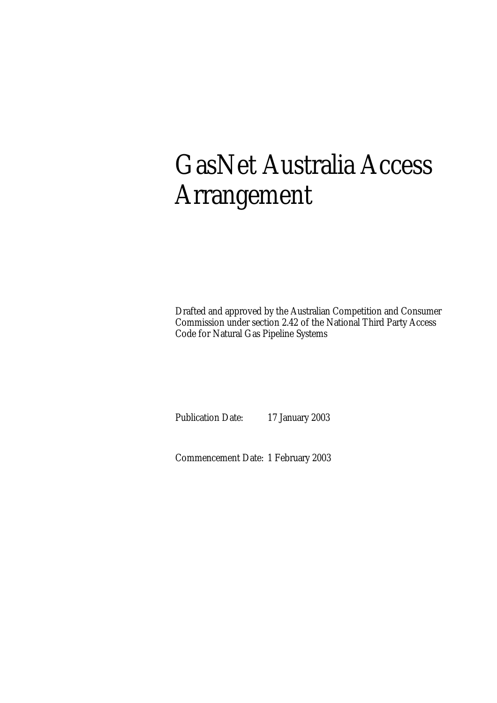# GasNet Australia Access Arrangement

Drafted and approved by the Australian Competition and Consumer Commission under section 2.42 of the National Third Party Access Code for Natural Gas Pipeline Systems

Publication Date: 17 January 2003

Commencement Date: 1 February 2003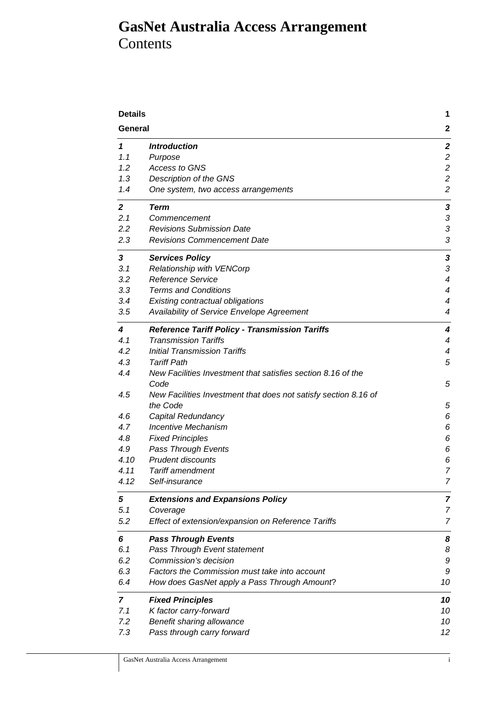# **GasNet Australia Access Arrangement**  Contents

| <b>Details</b> |                                                                 | 1                |
|----------------|-----------------------------------------------------------------|------------------|
| General        |                                                                 | $\mathbf{2}$     |
| 1              | <b>Introduction</b>                                             | $\boldsymbol{2}$ |
| 1.1            | Purpose                                                         | $\overline{c}$   |
| 1.2            | Access to GNS                                                   | $\overline{c}$   |
| 1.3            | Description of the GNS                                          | $\overline{c}$   |
| 1.4            | One system, two access arrangements                             | $\overline{c}$   |
| $\overline{2}$ | Term                                                            | 3                |
| 2.1            | Commencement                                                    | 3                |
| 2.2            | <b>Revisions Submission Date</b>                                | 3                |
| 2.3            | <b>Revisions Commencement Date</b>                              | 3                |
| 3              | <b>Services Policy</b>                                          | 3                |
| 3.1            | Relationship with VENCorp                                       | 3                |
| 3.2            | <b>Reference Service</b>                                        | $\overline{4}$   |
| 3.3            | <b>Terms and Conditions</b>                                     | $\overline{4}$   |
| 3.4            | Existing contractual obligations                                | $\overline{4}$   |
| 3.5            | Availability of Service Envelope Agreement                      | 4                |
| 4              | <b>Reference Tariff Policy - Transmission Tariffs</b>           | 4                |
| 4.1            | <b>Transmission Tariffs</b>                                     | $\overline{4}$   |
| 4.2            | <b>Initial Transmission Tariffs</b>                             | 4                |
| 4.3            | <b>Tariff Path</b>                                              | 5                |
| 4.4            | New Facilities Investment that satisfies section 8.16 of the    |                  |
|                | Code                                                            | 5                |
| 4.5            | New Facilities Investment that does not satisfy section 8.16 of |                  |
|                | the Code                                                        | 5                |
| 4.6            | Capital Redundancy                                              | 6                |
| 4.7            | Incentive Mechanism                                             | 6                |
| 4.8            | <b>Fixed Principles</b>                                         | 6                |
| 4.9            | Pass Through Events                                             | 6                |
| 4.10           | <b>Prudent discounts</b>                                        | 6                |
| 4.11           | <b>Tariff amendment</b>                                         | 7                |
| 4.12           | Self-insurance                                                  | $\overline{7}$   |
| 5              | <b>Extensions and Expansions Policy</b>                         | 7                |
| 5.1            | Coverage                                                        | 7                |
| 5.2            | Effect of extension/expansion on Reference Tariffs              | 7                |
| 6              | <b>Pass Through Events</b>                                      | 8                |
| 6.1            | Pass Through Event statement                                    | 8                |
| 6.2            | Commission's decision                                           | 9                |
| 6.3            | Factors the Commission must take into account                   | 9                |
| 6.4            | How does GasNet apply a Pass Through Amount?                    | 10               |
| 7              | <b>Fixed Principles</b>                                         | 10               |
| 7.1            | K factor carry-forward                                          | 10               |
| 7.2            | Benefit sharing allowance                                       | 10               |
| 7.3            | Pass through carry forward                                      | 12               |
|                |                                                                 |                  |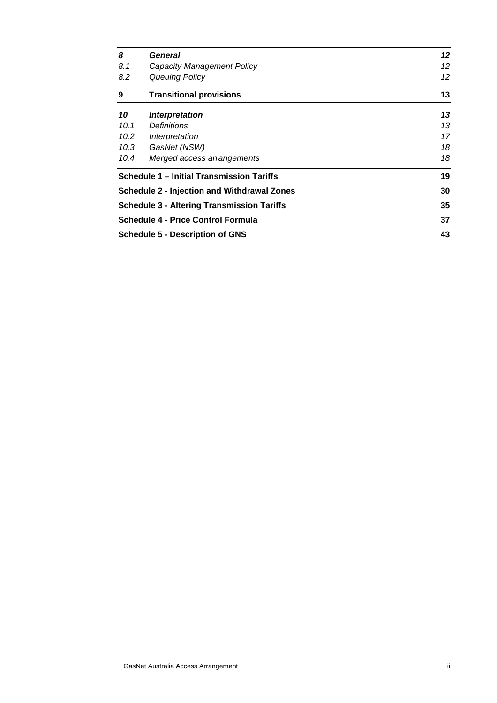| 8                                                 | General                                            | 12 |  |
|---------------------------------------------------|----------------------------------------------------|----|--|
| 8.1                                               | Capacity Management Policy                         | 12 |  |
| 8.2                                               | Queuing Policy                                     | 12 |  |
| 9                                                 | <b>Transitional provisions</b>                     | 13 |  |
| 10                                                | Interpretation                                     | 13 |  |
| 10.1                                              | <i>Definitions</i>                                 | 13 |  |
| 10.2                                              | Interpretation                                     | 17 |  |
| 10.3                                              | GasNet (NSW)                                       | 18 |  |
| 10.4                                              | Merged access arrangements                         | 18 |  |
|                                                   | Schedule 1 - Initial Transmission Tariffs          | 19 |  |
|                                                   | <b>Schedule 2 - Injection and Withdrawal Zones</b> | 30 |  |
| <b>Schedule 3 - Altering Transmission Tariffs</b> |                                                    |    |  |
| <b>Schedule 4 - Price Control Formula</b>         |                                                    |    |  |
|                                                   | <b>Schedule 5 - Description of GNS</b>             |    |  |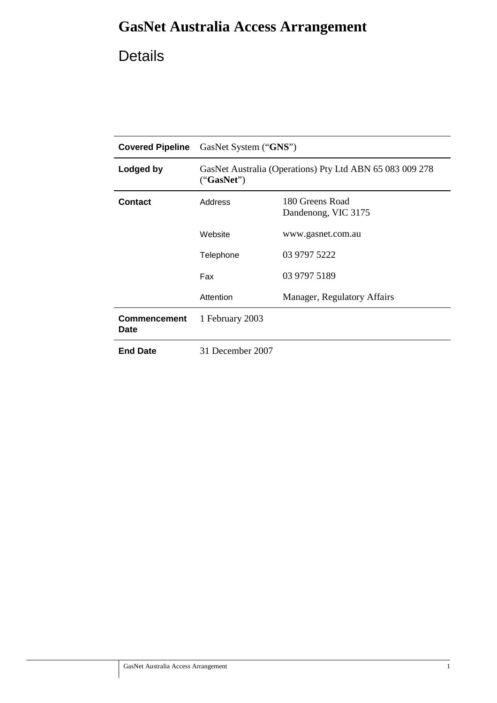# **GasNet Australia Access Arrangement**

# Details

| <b>Covered Pipeline</b>     | GasNet System ("GNS")                                                  |                             |  |
|-----------------------------|------------------------------------------------------------------------|-----------------------------|--|
| Lodged by                   | GasNet Australia (Operations) Pty Ltd ABN 65 083 009 278<br>("GasNet") |                             |  |
| <b>Contact</b>              | 180 Greens Road<br>Address<br>Dandenong, VIC 3175                      |                             |  |
|                             | Website                                                                | www.gasnet.com.au           |  |
|                             | Telephone                                                              | 03 9797 5222                |  |
|                             | Fax                                                                    | 03 9797 5189                |  |
|                             | Attention                                                              | Manager, Regulatory Affairs |  |
| Commencement<br><b>Date</b> | 1 February 2003                                                        |                             |  |
| <b>End Date</b>             | 31 December 2007                                                       |                             |  |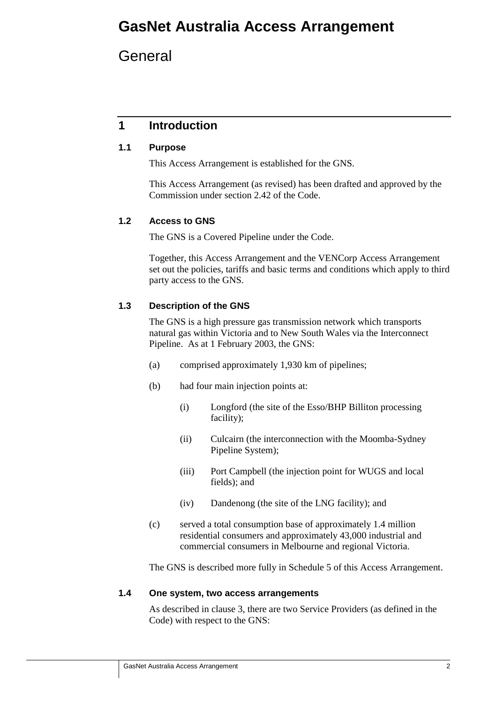# **GasNet Australia Access Arrangement**

**General** 

# **1 Introduction**

### **1.1 Purpose**

This Access Arrangement is established for the GNS.

This Access Arrangement (as revised) has been drafted and approved by the Commission under section 2.42 of the Code.

### **1.2 Access to GNS**

The GNS is a Covered Pipeline under the Code.

Together, this Access Arrangement and the VENCorp Access Arrangement set out the policies, tariffs and basic terms and conditions which apply to third party access to the GNS.

### **1.3 Description of the GNS**

The GNS is a high pressure gas transmission network which transports natural gas within Victoria and to New South Wales via the Interconnect Pipeline. As at 1 February 2003, the GNS:

- (a) comprised approximately 1,930 km of pipelines;
- (b) had four main injection points at:
	- (i) Longford (the site of the Esso/BHP Billiton processing facility);
	- (ii) Culcairn (the interconnection with the Moomba-Sydney Pipeline System);
	- (iii) Port Campbell (the injection point for WUGS and local fields); and
	- (iv) Dandenong (the site of the LNG facility); and
- (c) served a total consumption base of approximately 1.4 million residential consumers and approximately 43,000 industrial and commercial consumers in Melbourne and regional Victoria.

The GNS is described more fully in Schedule 5 of this Access Arrangement.

### **1.4 One system, two access arrangements**

As described in clause 3, there are two Service Providers (as defined in the Code) with respect to the GNS: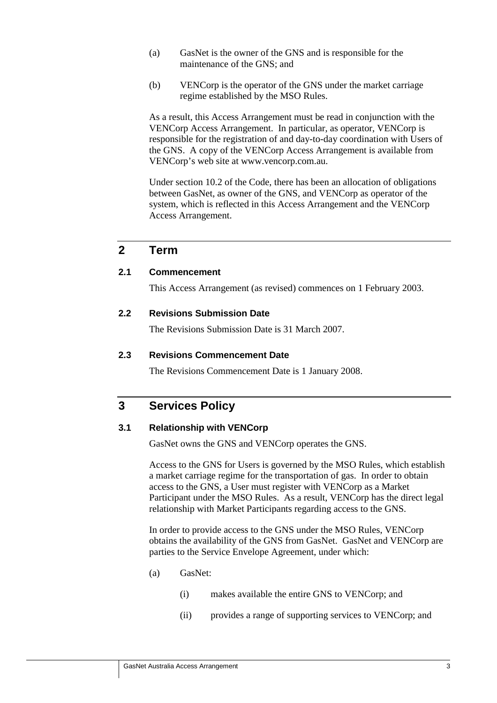- (a) GasNet is the owner of the GNS and is responsible for the maintenance of the GNS; and
- (b) VENCorp is the operator of the GNS under the market carriage regime established by the MSO Rules.

As a result, this Access Arrangement must be read in conjunction with the VENCorp Access Arrangement. In particular, as operator, VENCorp is responsible for the registration of and day-to-day coordination with Users of the GNS. A copy of the VENCorp Access Arrangement is available from VENCorp's web site at www.vencorp.com.au.

Under section 10.2 of the Code, there has been an allocation of obligations between GasNet, as owner of the GNS, and VENCorp as operator of the system, which is reflected in this Access Arrangement and the VENCorp Access Arrangement.

### **2 Term**

### **2.1 Commencement**

This Access Arrangement (as revised) commences on 1 February 2003.

### **2.2 Revisions Submission Date**

The Revisions Submission Date is 31 March 2007.

#### **2.3 Revisions Commencement Date**

The Revisions Commencement Date is 1 January 2008.

### **3 Services Policy**

### **3.1 Relationship with VENCorp**

GasNet owns the GNS and VENCorp operates the GNS.

Access to the GNS for Users is governed by the MSO Rules, which establish a market carriage regime for the transportation of gas. In order to obtain access to the GNS, a User must register with VENCorp as a Market Participant under the MSO Rules. As a result, VENCorp has the direct legal relationship with Market Participants regarding access to the GNS.

In order to provide access to the GNS under the MSO Rules, VENCorp obtains the availability of the GNS from GasNet. GasNet and VENCorp are parties to the Service Envelope Agreement, under which:

- (a) GasNet:
	- (i) makes available the entire GNS to VENCorp; and
	- (ii) provides a range of supporting services to VENCorp; and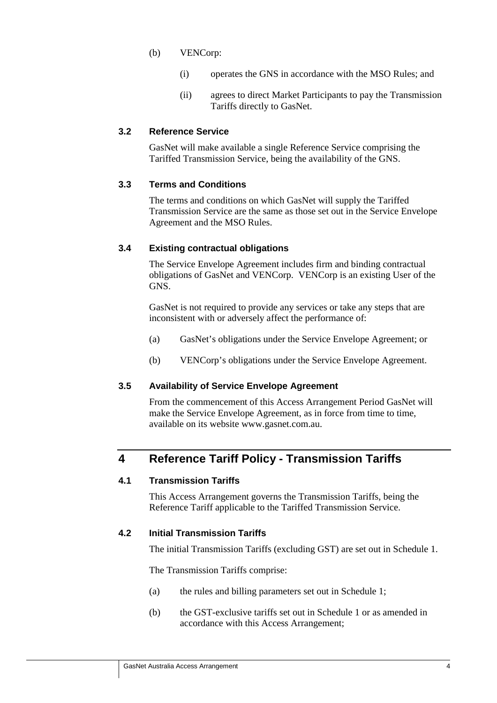- (b) VENCorp:
	- (i) operates the GNS in accordance with the MSO Rules; and
	- (ii) agrees to direct Market Participants to pay the Transmission Tariffs directly to GasNet.

### **3.2 Reference Service**

GasNet will make available a single Reference Service comprising the Tariffed Transmission Service, being the availability of the GNS.

### **3.3 Terms and Conditions**

The terms and conditions on which GasNet will supply the Tariffed Transmission Service are the same as those set out in the Service Envelope Agreement and the MSO Rules.

### **3.4 Existing contractual obligations**

The Service Envelope Agreement includes firm and binding contractual obligations of GasNet and VENCorp. VENCorp is an existing User of the GNS.

GasNet is not required to provide any services or take any steps that are inconsistent with or adversely affect the performance of:

- (a) GasNet's obligations under the Service Envelope Agreement; or
- (b) VENCorp's obligations under the Service Envelope Agreement.

### **3.5 Availability of Service Envelope Agreement**

From the commencement of this Access Arrangement Period GasNet will make the Service Envelope Agreement, as in force from time to time, available on its website www.gasnet.com.au.

## **4 Reference Tariff Policy - Transmission Tariffs**

### **4.1 Transmission Tariffs**

This Access Arrangement governs the Transmission Tariffs, being the Reference Tariff applicable to the Tariffed Transmission Service.

### **4.2 Initial Transmission Tariffs**

The initial Transmission Tariffs (excluding GST) are set out in Schedule 1.

The Transmission Tariffs comprise:

- (a) the rules and billing parameters set out in Schedule 1;
- (b) the GST-exclusive tariffs set out in Schedule 1 or as amended in accordance with this Access Arrangement;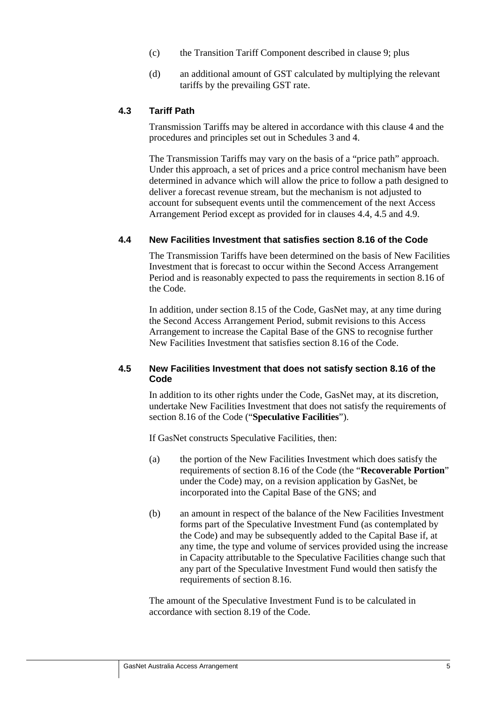- (c) the Transition Tariff Component described in clause 9; plus
- (d) an additional amount of GST calculated by multiplying the relevant tariffs by the prevailing GST rate.

### **4.3 Tariff Path**

Transmission Tariffs may be altered in accordance with this clause 4 and the procedures and principles set out in Schedules 3 and 4.

The Transmission Tariffs may vary on the basis of a "price path" approach. Under this approach, a set of prices and a price control mechanism have been determined in advance which will allow the price to follow a path designed to deliver a forecast revenue stream, but the mechanism is not adjusted to account for subsequent events until the commencement of the next Access Arrangement Period except as provided for in clauses 4.4, 4.5 and 4.9.

#### **4.4 New Facilities Investment that satisfies section 8.16 of the Code**

The Transmission Tariffs have been determined on the basis of New Facilities Investment that is forecast to occur within the Second Access Arrangement Period and is reasonably expected to pass the requirements in section 8.16 of the Code.

In addition, under section 8.15 of the Code, GasNet may, at any time during the Second Access Arrangement Period, submit revisions to this Access Arrangement to increase the Capital Base of the GNS to recognise further New Facilities Investment that satisfies section 8.16 of the Code.

### **4.5 New Facilities Investment that does not satisfy section 8.16 of the Code**

In addition to its other rights under the Code, GasNet may, at its discretion, undertake New Facilities Investment that does not satisfy the requirements of section 8.16 of the Code ("**Speculative Facilities**").

If GasNet constructs Speculative Facilities, then:

- (a) the portion of the New Facilities Investment which does satisfy the requirements of section 8.16 of the Code (the "**Recoverable Portion**" under the Code) may, on a revision application by GasNet, be incorporated into the Capital Base of the GNS; and
- (b) an amount in respect of the balance of the New Facilities Investment forms part of the Speculative Investment Fund (as contemplated by the Code) and may be subsequently added to the Capital Base if, at any time, the type and volume of services provided using the increase in Capacity attributable to the Speculative Facilities change such that any part of the Speculative Investment Fund would then satisfy the requirements of section 8.16.

The amount of the Speculative Investment Fund is to be calculated in accordance with section 8.19 of the Code.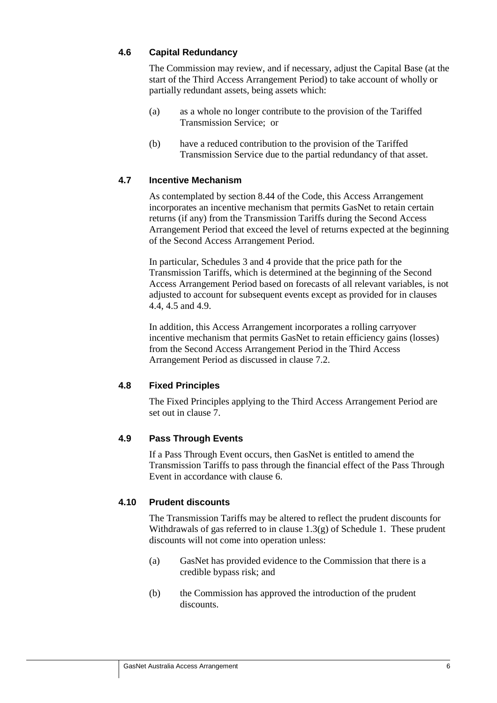### **4.6 Capital Redundancy**

The Commission may review, and if necessary, adjust the Capital Base (at the start of the Third Access Arrangement Period) to take account of wholly or partially redundant assets, being assets which:

- (a) as a whole no longer contribute to the provision of the Tariffed Transmission Service; or
- (b) have a reduced contribution to the provision of the Tariffed Transmission Service due to the partial redundancy of that asset.

### **4.7 Incentive Mechanism**

As contemplated by section 8.44 of the Code, this Access Arrangement incorporates an incentive mechanism that permits GasNet to retain certain returns (if any) from the Transmission Tariffs during the Second Access Arrangement Period that exceed the level of returns expected at the beginning of the Second Access Arrangement Period.

In particular, Schedules 3 and 4 provide that the price path for the Transmission Tariffs, which is determined at the beginning of the Second Access Arrangement Period based on forecasts of all relevant variables, is not adjusted to account for subsequent events except as provided for in clauses 4.4, 4.5 and 4.9.

In addition, this Access Arrangement incorporates a rolling carryover incentive mechanism that permits GasNet to retain efficiency gains (losses) from the Second Access Arrangement Period in the Third Access Arrangement Period as discussed in clause 7.2.

### **4.8 Fixed Principles**

The Fixed Principles applying to the Third Access Arrangement Period are set out in clause 7.

### **4.9 Pass Through Events**

If a Pass Through Event occurs, then GasNet is entitled to amend the Transmission Tariffs to pass through the financial effect of the Pass Through Event in accordance with clause 6.

### **4.10 Prudent discounts**

The Transmission Tariffs may be altered to reflect the prudent discounts for Withdrawals of gas referred to in clause  $1.3(g)$  of Schedule 1. These prudent discounts will not come into operation unless:

- (a) GasNet has provided evidence to the Commission that there is a credible bypass risk; and
- (b) the Commission has approved the introduction of the prudent discounts.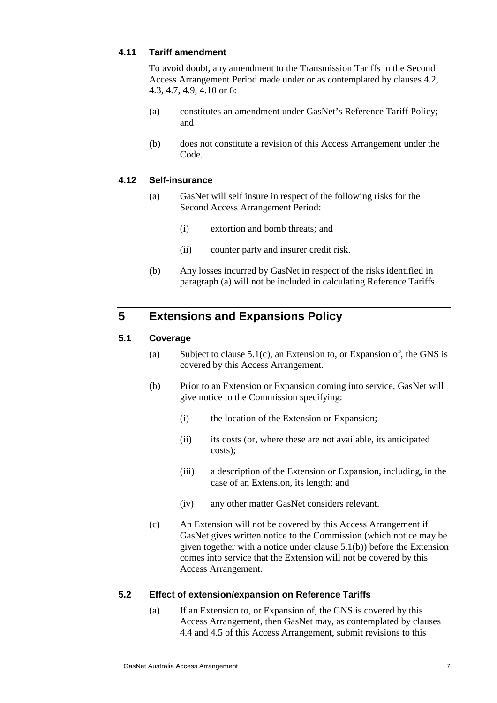### **4.11 Tariff amendment**

To avoid doubt, any amendment to the Transmission Tariffs in the Second Access Arrangement Period made under or as contemplated by clauses 4.2, 4.3, 4.7, 4.9, 4.10 or 6:

- (a) constitutes an amendment under GasNet's Reference Tariff Policy; and
- (b) does not constitute a revision of this Access Arrangement under the Code.

### **4.12 Self-insurance**

- (a) GasNet will self insure in respect of the following risks for the Second Access Arrangement Period:
	- (i) extortion and bomb threats; and
	- (ii) counter party and insurer credit risk.
- (b) Any losses incurred by GasNet in respect of the risks identified in paragraph (a) will not be included in calculating Reference Tariffs.

## **5 Extensions and Expansions Policy**

### **5.1 Coverage**

- (a) Subject to clause  $5.1(c)$ , an Extension to, or Expansion of, the GNS is covered by this Access Arrangement.
- (b) Prior to an Extension or Expansion coming into service, GasNet will give notice to the Commission specifying:
	- (i) the location of the Extension or Expansion;
	- (ii) its costs (or, where these are not available, its anticipated costs);
	- (iii) a description of the Extension or Expansion, including, in the case of an Extension, its length; and
	- (iv) any other matter GasNet considers relevant.
- (c) An Extension will not be covered by this Access Arrangement if GasNet gives written notice to the Commission (which notice may be given together with a notice under clause 5.1(b)) before the Extension comes into service that the Extension will not be covered by this Access Arrangement.

### **5.2 Effect of extension/expansion on Reference Tariffs**

(a) If an Extension to, or Expansion of, the GNS is covered by this Access Arrangement, then GasNet may, as contemplated by clauses 4.4 and 4.5 of this Access Arrangement, submit revisions to this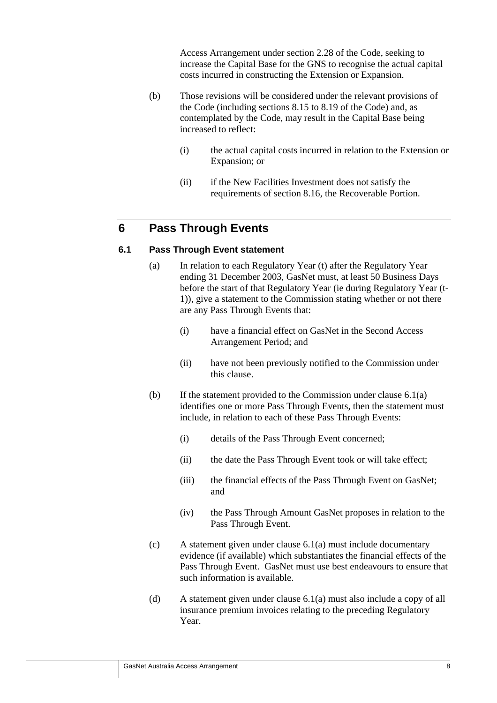Access Arrangement under section 2.28 of the Code, seeking to increase the Capital Base for the GNS to recognise the actual capital costs incurred in constructing the Extension or Expansion.

- (b) Those revisions will be considered under the relevant provisions of the Code (including sections 8.15 to 8.19 of the Code) and, as contemplated by the Code, may result in the Capital Base being increased to reflect:
	- (i) the actual capital costs incurred in relation to the Extension or Expansion; or
	- (ii) if the New Facilities Investment does not satisfy the requirements of section 8.16, the Recoverable Portion.

## **6 Pass Through Events**

### **6.1 Pass Through Event statement**

- (a) In relation to each Regulatory Year (t) after the Regulatory Year ending 31 December 2003, GasNet must, at least 50 Business Days before the start of that Regulatory Year (ie during Regulatory Year (t-1)), give a statement to the Commission stating whether or not there are any Pass Through Events that:
	- (i) have a financial effect on GasNet in the Second Access Arrangement Period; and
	- (ii) have not been previously notified to the Commission under this clause.
- (b) If the statement provided to the Commission under clause 6.1(a) identifies one or more Pass Through Events, then the statement must include, in relation to each of these Pass Through Events:
	- (i) details of the Pass Through Event concerned;
	- (ii) the date the Pass Through Event took or will take effect;
	- (iii) the financial effects of the Pass Through Event on GasNet; and
	- (iv) the Pass Through Amount GasNet proposes in relation to the Pass Through Event.
- (c) A statement given under clause 6.1(a) must include documentary evidence (if available) which substantiates the financial effects of the Pass Through Event. GasNet must use best endeavours to ensure that such information is available.
- (d) A statement given under clause 6.1(a) must also include a copy of all insurance premium invoices relating to the preceding Regulatory Year.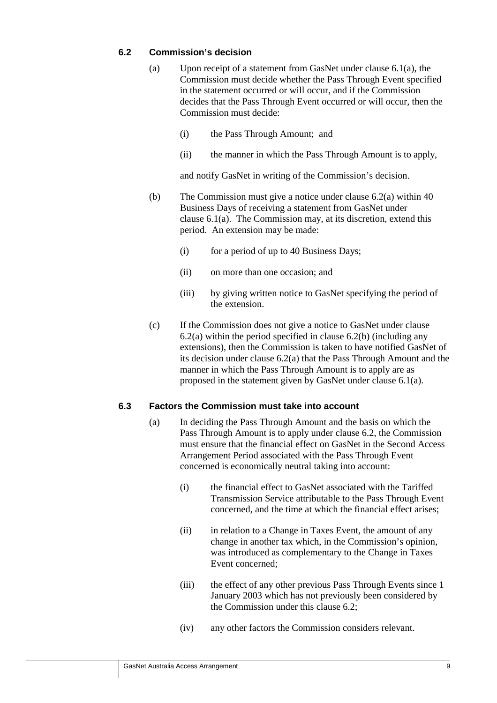### **6.2 Commission's decision**

- (a) Upon receipt of a statement from GasNet under clause 6.1(a), the Commission must decide whether the Pass Through Event specified in the statement occurred or will occur, and if the Commission decides that the Pass Through Event occurred or will occur, then the Commission must decide:
	- (i) the Pass Through Amount; and
	- (ii) the manner in which the Pass Through Amount is to apply,

and notify GasNet in writing of the Commission's decision.

- (b) The Commission must give a notice under clause 6.2(a) within 40 Business Days of receiving a statement from GasNet under clause 6.1(a). The Commission may, at its discretion, extend this period. An extension may be made:
	- (i) for a period of up to 40 Business Days;
	- (ii) on more than one occasion; and
	- (iii) by giving written notice to GasNet specifying the period of the extension.
- (c) If the Commission does not give a notice to GasNet under clause  $6.2(a)$  within the period specified in clause  $6.2(b)$  (including any extensions), then the Commission is taken to have notified GasNet of its decision under clause 6.2(a) that the Pass Through Amount and the manner in which the Pass Through Amount is to apply are as proposed in the statement given by GasNet under clause 6.1(a).

### **6.3 Factors the Commission must take into account**

- (a) In deciding the Pass Through Amount and the basis on which the Pass Through Amount is to apply under clause 6.2, the Commission must ensure that the financial effect on GasNet in the Second Access Arrangement Period associated with the Pass Through Event concerned is economically neutral taking into account:
	- (i) the financial effect to GasNet associated with the Tariffed Transmission Service attributable to the Pass Through Event concerned, and the time at which the financial effect arises;
	- (ii) in relation to a Change in Taxes Event, the amount of any change in another tax which, in the Commission's opinion, was introduced as complementary to the Change in Taxes Event concerned;
	- (iii) the effect of any other previous Pass Through Events since 1 January 2003 which has not previously been considered by the Commission under this clause 6.2;
	- (iv) any other factors the Commission considers relevant.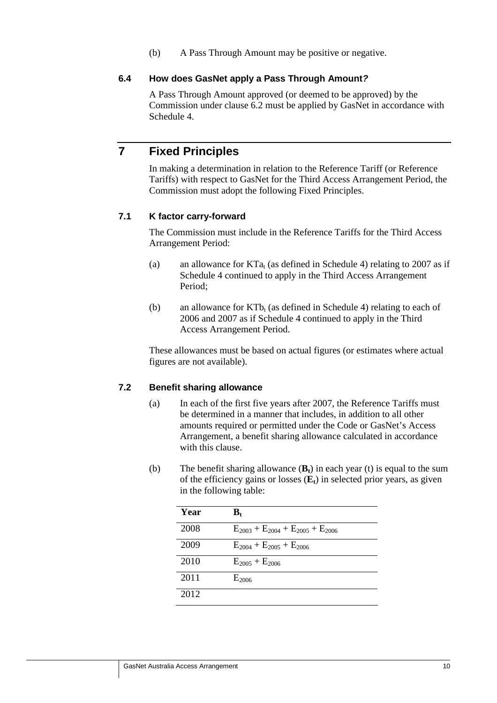(b) A Pass Through Amount may be positive or negative.

### **6.4 How does GasNet apply a Pass Through Amount***?*

A Pass Through Amount approved (or deemed to be approved) by the Commission under clause 6.2 must be applied by GasNet in accordance with Schedule 4.

## **7 Fixed Principles**

In making a determination in relation to the Reference Tariff (or Reference Tariffs) with respect to GasNet for the Third Access Arrangement Period, the Commission must adopt the following Fixed Principles.

### **7.1 K factor carry-forward**

The Commission must include in the Reference Tariffs for the Third Access Arrangement Period:

- (a) an allowance for  $KTa<sub>t</sub>$  (as defined in Schedule 4) relating to 2007 as if Schedule 4 continued to apply in the Third Access Arrangement Period;
- (b) an allowance for  $KT_{b}$  (as defined in Schedule 4) relating to each of 2006 and 2007 as if Schedule 4 continued to apply in the Third Access Arrangement Period.

These allowances must be based on actual figures (or estimates where actual figures are not available).

### **7.2 Benefit sharing allowance**

- (a) In each of the first five years after 2007, the Reference Tariffs must be determined in a manner that includes, in addition to all other amounts required or permitted under the Code or GasNet's Access Arrangement, a benefit sharing allowance calculated in accordance with this clause.
- (b) The benefit sharing allowance  $(\mathbf{B}_t)$  in each year (t) is equal to the sum of the efficiency gains or losses  $(E_t)$  in selected prior years, as given in the following table:

| Year | $\mathbf{B}_{\mathrm{t}}$                   |
|------|---------------------------------------------|
| 2008 | $E_{2003} + E_{2004} + E_{2005} + E_{2006}$ |
| 2009 | $E_{2004} + E_{2005} + E_{2006}$            |
| 2010 | $E_{2005} + E_{2006}$                       |
| 2011 | $E_{2006}$                                  |
| 2012 |                                             |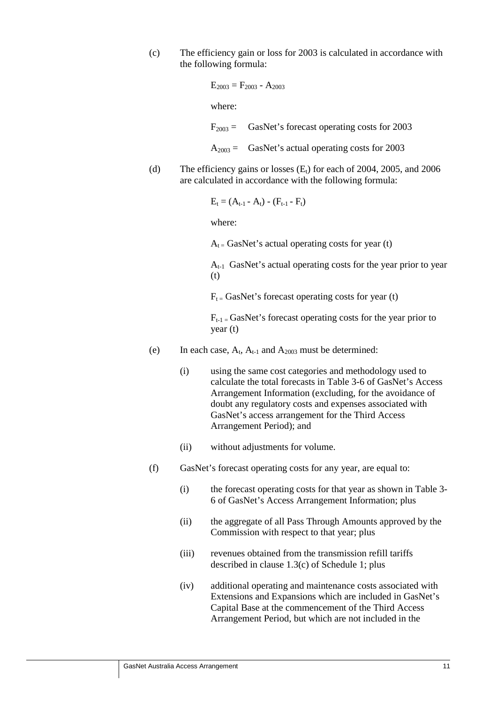(c) The efficiency gain or loss for 2003 is calculated in accordance with the following formula:

```
E_{2003} = F_{2003} - A_{2003}
```
where:

 $F<sub>2003</sub> =$  GasNet's forecast operating costs for 2003

 $A<sub>2003</sub> =$  GasNet's actual operating costs for 2003

(d) The efficiency gains or losses  $(E_t)$  for each of 2004, 2005, and 2006 are calculated in accordance with the following formula:

$$
E_t = (A_{t-1} - A_t) - (F_{t-1} - F_t)
$$

where:

 $A_t$  = GasNet's actual operating costs for year (t)

 $A_{t-1}$  GasNet's actual operating costs for the year prior to year (t)

 $F_t =$  GasNet's forecast operating costs for year (t)

 $F_{t-1}$  = GasNet's forecast operating costs for the year prior to year (t)

- (e) In each case,  $A_t$ ,  $A_{t-1}$  and  $A_{2003}$  must be determined:
	- (i) using the same cost categories and methodology used to calculate the total forecasts in Table 3-6 of GasNet's Access Arrangement Information (excluding, for the avoidance of doubt any regulatory costs and expenses associated with GasNet's access arrangement for the Third Access Arrangement Period); and
	- (ii) without adjustments for volume.
- (f) GasNet's forecast operating costs for any year, are equal to:
	- (i) the forecast operating costs for that year as shown in Table 3- 6 of GasNet's Access Arrangement Information; plus
	- (ii) the aggregate of all Pass Through Amounts approved by the Commission with respect to that year; plus
	- (iii) revenues obtained from the transmission refill tariffs described in clause 1.3(c) of Schedule 1; plus
	- (iv) additional operating and maintenance costs associated with Extensions and Expansions which are included in GasNet's Capital Base at the commencement of the Third Access Arrangement Period, but which are not included in the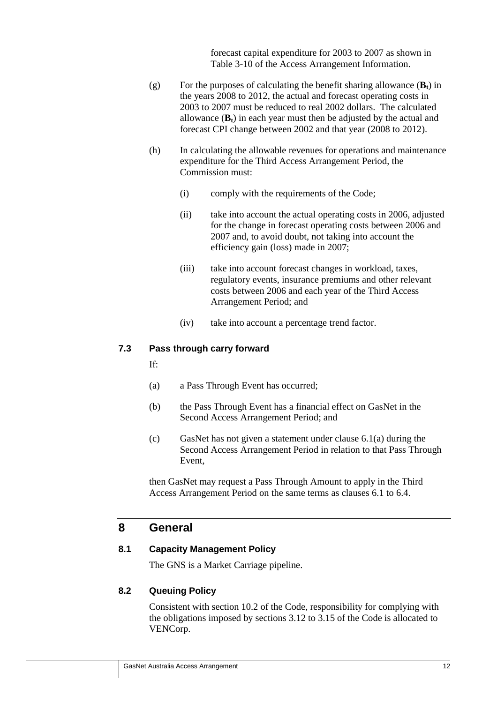forecast capital expenditure for 2003 to 2007 as shown in Table 3-10 of the Access Arrangement Information.

- (g) For the purposes of calculating the benefit sharing allowance  $(\mathbf{B}_t)$  in the years 2008 to 2012, the actual and forecast operating costs in 2003 to 2007 must be reduced to real 2002 dollars. The calculated allowance  $(\mathbf{B}_t)$  in each year must then be adjusted by the actual and forecast CPI change between 2002 and that year (2008 to 2012).
- (h) In calculating the allowable revenues for operations and maintenance expenditure for the Third Access Arrangement Period, the Commission must:
	- (i) comply with the requirements of the Code;
	- (ii) take into account the actual operating costs in 2006, adjusted for the change in forecast operating costs between 2006 and 2007 and, to avoid doubt, not taking into account the efficiency gain (loss) made in 2007;
	- (iii) take into account forecast changes in workload, taxes, regulatory events, insurance premiums and other relevant costs between 2006 and each year of the Third Access Arrangement Period; and
	- (iv) take into account a percentage trend factor.

#### **7.3 Pass through carry forward**

If:

- (a) a Pass Through Event has occurred;
- (b) the Pass Through Event has a financial effect on GasNet in the Second Access Arrangement Period; and
- (c) GasNet has not given a statement under clause 6.1(a) during the Second Access Arrangement Period in relation to that Pass Through Event,

then GasNet may request a Pass Through Amount to apply in the Third Access Arrangement Period on the same terms as clauses 6.1 to 6.4.

### **8 General**

#### **8.1 Capacity Management Policy**

The GNS is a Market Carriage pipeline.

### **8.2 Queuing Policy**

Consistent with section 10.2 of the Code, responsibility for complying with the obligations imposed by sections 3.12 to 3.15 of the Code is allocated to VENCorp.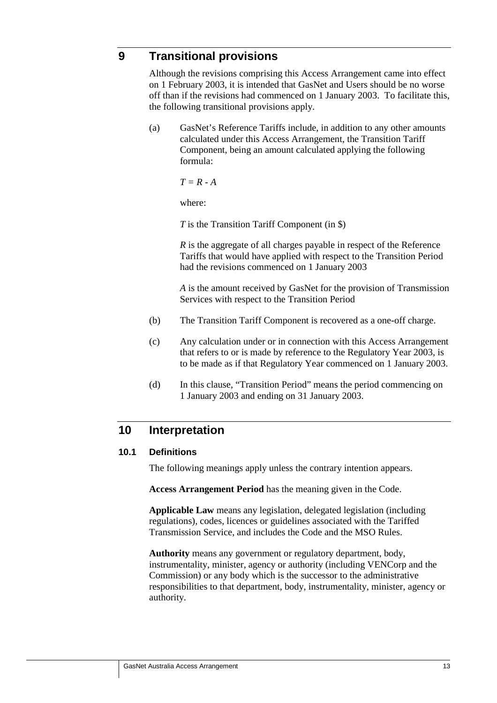### **9 Transitional provisions**

Although the revisions comprising this Access Arrangement came into effect on 1 February 2003, it is intended that GasNet and Users should be no worse off than if the revisions had commenced on 1 January 2003. To facilitate this, the following transitional provisions apply.

(a) GasNet's Reference Tariffs include, in addition to any other amounts calculated under this Access Arrangement, the Transition Tariff Component, being an amount calculated applying the following formula:

 $T = R - A$ 

where:

*T* is the Transition Tariff Component (in \$)

*R* is the aggregate of all charges payable in respect of the Reference Tariffs that would have applied with respect to the Transition Period had the revisions commenced on 1 January 2003

*A* is the amount received by GasNet for the provision of Transmission Services with respect to the Transition Period

- (b) The Transition Tariff Component is recovered as a one-off charge.
- (c) Any calculation under or in connection with this Access Arrangement that refers to or is made by reference to the Regulatory Year 2003, is to be made as if that Regulatory Year commenced on 1 January 2003.
- (d) In this clause, "Transition Period" means the period commencing on 1 January 2003 and ending on 31 January 2003.

## **10 Interpretation**

### **10.1 Definitions**

The following meanings apply unless the contrary intention appears.

**Access Arrangement Period** has the meaning given in the Code.

**Applicable Law** means any legislation, delegated legislation (including regulations), codes, licences or guidelines associated with the Tariffed Transmission Service, and includes the Code and the MSO Rules.

**Authority** means any government or regulatory department, body, instrumentality, minister, agency or authority (including VENCorp and the Commission) or any body which is the successor to the administrative responsibilities to that department, body, instrumentality, minister, agency or authority.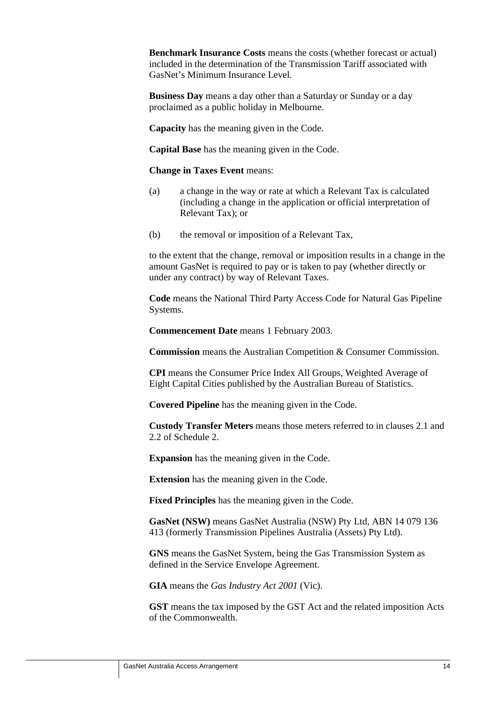**Benchmark Insurance Costs** means the costs (whether forecast or actual) included in the determination of the Transmission Tariff associated with GasNet's Minimum Insurance Level.

**Business Day** means a day other than a Saturday or Sunday or a day proclaimed as a public holiday in Melbourne.

**Capacity** has the meaning given in the Code.

**Capital Base** has the meaning given in the Code.

**Change in Taxes Event** means:

- (a) a change in the way or rate at which a Relevant Tax is calculated (including a change in the application or official interpretation of Relevant Tax); or
- (b) the removal or imposition of a Relevant Tax,

to the extent that the change, removal or imposition results in a change in the amount GasNet is required to pay or is taken to pay (whether directly or under any contract) by way of Relevant Taxes.

**Code** means the National Third Party Access Code for Natural Gas Pipeline Systems.

**Commencement Date** means 1 February 2003.

**Commission** means the Australian Competition & Consumer Commission.

**CPI** means the Consumer Price Index All Groups, Weighted Average of Eight Capital Cities published by the Australian Bureau of Statistics.

**Covered Pipeline** has the meaning given in the Code.

**Custody Transfer Meters** means those meters referred to in clauses 2.1 and 2.2 of Schedule 2.

**Expansion** has the meaning given in the Code.

**Extension** has the meaning given in the Code.

**Fixed Principles** has the meaning given in the Code.

**GasNet (NSW)** means GasNet Australia (NSW) Pty Ltd, ABN 14 079 136 413 (formerly Transmission Pipelines Australia (Assets) Pty Ltd).

**GNS** means the GasNet System, being the Gas Transmission System as defined in the Service Envelope Agreement.

**GIA** means the *Gas Industry Act 2001* (Vic).

**GST** means the tax imposed by the GST Act and the related imposition Acts of the Commonwealth.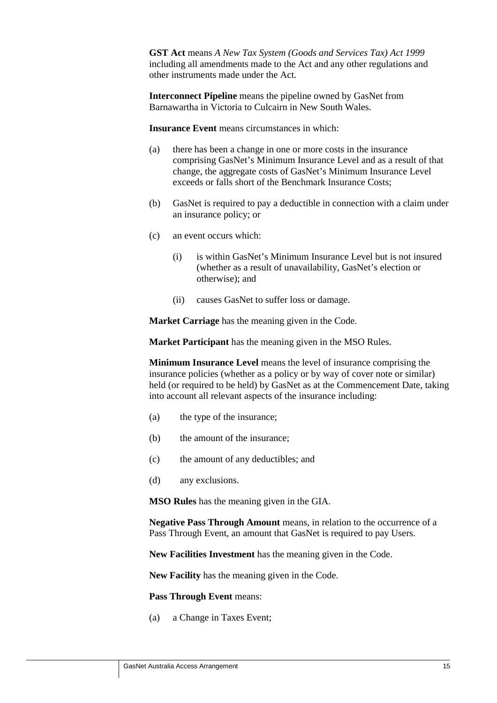**GST Act** means *A New Tax System (Goods and Services Tax) Act 1999* including all amendments made to the Act and any other regulations and other instruments made under the Act.

**Interconnect Pipeline** means the pipeline owned by GasNet from Barnawartha in Victoria to Culcairn in New South Wales.

**Insurance Event** means circumstances in which:

- (a) there has been a change in one or more costs in the insurance comprising GasNet's Minimum Insurance Level and as a result of that change, the aggregate costs of GasNet's Minimum Insurance Level exceeds or falls short of the Benchmark Insurance Costs;
- (b) GasNet is required to pay a deductible in connection with a claim under an insurance policy; or
- (c) an event occurs which:
	- (i) is within GasNet's Minimum Insurance Level but is not insured (whether as a result of unavailability, GasNet's election or otherwise); and
	- (ii) causes GasNet to suffer loss or damage.

**Market Carriage** has the meaning given in the Code.

**Market Participant** has the meaning given in the MSO Rules.

**Minimum Insurance Level** means the level of insurance comprising the insurance policies (whether as a policy or by way of cover note or similar) held (or required to be held) by GasNet as at the Commencement Date, taking into account all relevant aspects of the insurance including:

- (a) the type of the insurance;
- (b) the amount of the insurance;
- (c) the amount of any deductibles; and
- (d) any exclusions.

**MSO Rules** has the meaning given in the GIA.

**Negative Pass Through Amount** means, in relation to the occurrence of a Pass Through Event, an amount that GasNet is required to pay Users.

**New Facilities Investment** has the meaning given in the Code.

**New Facility** has the meaning given in the Code.

**Pass Through Event** means:

(a) a Change in Taxes Event;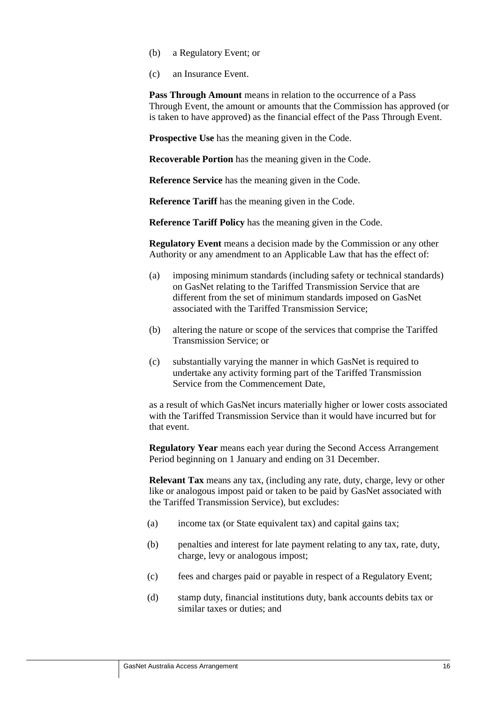- (b) a Regulatory Event; or
- (c) an Insurance Event.

**Pass Through Amount** means in relation to the occurrence of a Pass Through Event, the amount or amounts that the Commission has approved (or is taken to have approved) as the financial effect of the Pass Through Event.

**Prospective Use** has the meaning given in the Code.

**Recoverable Portion** has the meaning given in the Code.

**Reference Service** has the meaning given in the Code.

**Reference Tariff** has the meaning given in the Code.

**Reference Tariff Policy** has the meaning given in the Code.

**Regulatory Event** means a decision made by the Commission or any other Authority or any amendment to an Applicable Law that has the effect of:

- (a) imposing minimum standards (including safety or technical standards) on GasNet relating to the Tariffed Transmission Service that are different from the set of minimum standards imposed on GasNet associated with the Tariffed Transmission Service;
- (b) altering the nature or scope of the services that comprise the Tariffed Transmission Service; or
- (c) substantially varying the manner in which GasNet is required to undertake any activity forming part of the Tariffed Transmission Service from the Commencement Date,

as a result of which GasNet incurs materially higher or lower costs associated with the Tariffed Transmission Service than it would have incurred but for that event.

**Regulatory Year** means each year during the Second Access Arrangement Period beginning on 1 January and ending on 31 December.

**Relevant Tax** means any tax, (including any rate, duty, charge, levy or other like or analogous impost paid or taken to be paid by GasNet associated with the Tariffed Transmission Service), but excludes:

- (a) income tax (or State equivalent tax) and capital gains tax;
- (b) penalties and interest for late payment relating to any tax, rate, duty, charge, levy or analogous impost;
- (c) fees and charges paid or payable in respect of a Regulatory Event;
- (d) stamp duty, financial institutions duty, bank accounts debits tax or similar taxes or duties; and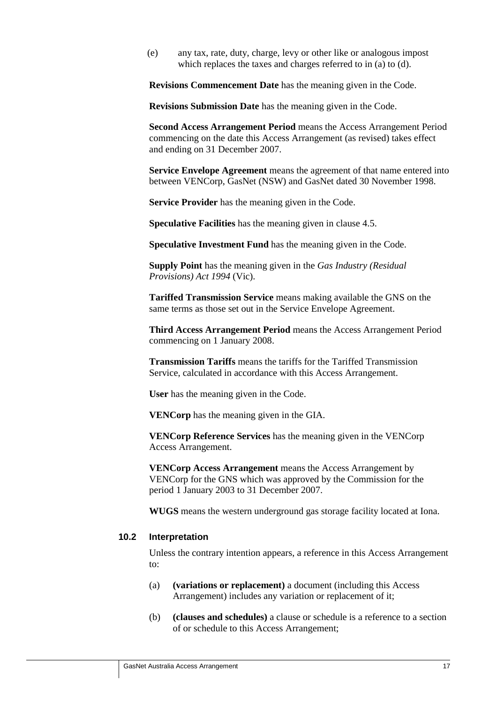(e) any tax, rate, duty, charge, levy or other like or analogous impost which replaces the taxes and charges referred to in (a) to (d).

**Revisions Commencement Date** has the meaning given in the Code.

**Revisions Submission Date** has the meaning given in the Code.

**Second Access Arrangement Period** means the Access Arrangement Period commencing on the date this Access Arrangement (as revised) takes effect and ending on 31 December 2007.

**Service Envelope Agreement** means the agreement of that name entered into between VENCorp, GasNet (NSW) and GasNet dated 30 November 1998.

**Service Provider** has the meaning given in the Code.

**Speculative Facilities** has the meaning given in clause 4.5.

**Speculative Investment Fund** has the meaning given in the Code.

**Supply Point** has the meaning given in the *Gas Industry (Residual Provisions) Act 1994* (Vic).

**Tariffed Transmission Service** means making available the GNS on the same terms as those set out in the Service Envelope Agreement.

**Third Access Arrangement Period** means the Access Arrangement Period commencing on 1 January 2008.

**Transmission Tariffs** means the tariffs for the Tariffed Transmission Service, calculated in accordance with this Access Arrangement.

**User** has the meaning given in the Code.

**VENCorp** has the meaning given in the GIA.

**VENCorp Reference Services** has the meaning given in the VENCorp Access Arrangement.

**VENCorp Access Arrangement** means the Access Arrangement by VENCorp for the GNS which was approved by the Commission for the period 1 January 2003 to 31 December 2007.

**WUGS** means the western underground gas storage facility located at Iona.

### **10.2 Interpretation**

Unless the contrary intention appears, a reference in this Access Arrangement to:

- (a) **(variations or replacement)** a document (including this Access Arrangement) includes any variation or replacement of it;
- (b) **(clauses and schedules)** a clause or schedule is a reference to a section of or schedule to this Access Arrangement;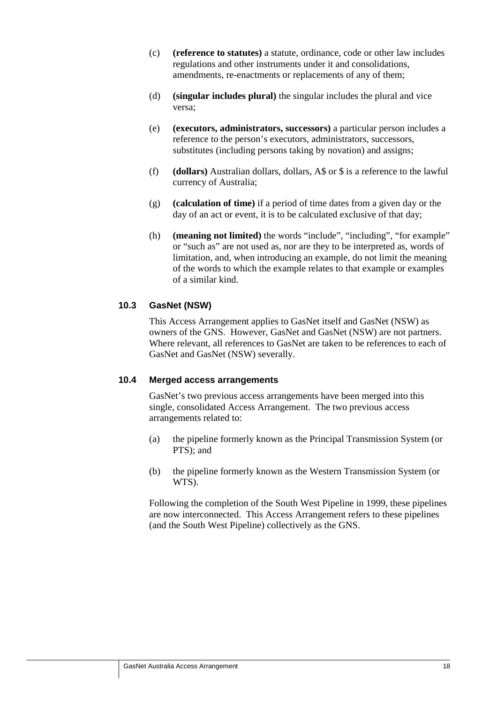- (c) **(reference to statutes)** a statute, ordinance, code or other law includes regulations and other instruments under it and consolidations, amendments, re-enactments or replacements of any of them;
- (d) **(singular includes plural)** the singular includes the plural and vice versa;
- (e) **(executors, administrators, successors)** a particular person includes a reference to the person's executors, administrators, successors, substitutes (including persons taking by novation) and assigns;
- (f) **(dollars)** Australian dollars, dollars, A\$ or \$ is a reference to the lawful currency of Australia;
- (g) **(calculation of time)** if a period of time dates from a given day or the day of an act or event, it is to be calculated exclusive of that day;
- (h) **(meaning not limited)** the words "include", "including", "for example" or "such as" are not used as, nor are they to be interpreted as, words of limitation, and, when introducing an example, do not limit the meaning of the words to which the example relates to that example or examples of a similar kind.

### **10.3 GasNet (NSW)**

This Access Arrangement applies to GasNet itself and GasNet (NSW) as owners of the GNS. However, GasNet and GasNet (NSW) are not partners. Where relevant, all references to GasNet are taken to be references to each of GasNet and GasNet (NSW) severally.

### **10.4 Merged access arrangements**

GasNet's two previous access arrangements have been merged into this single, consolidated Access Arrangement. The two previous access arrangements related to:

- (a) the pipeline formerly known as the Principal Transmission System (or PTS); and
- (b) the pipeline formerly known as the Western Transmission System (or WTS).

Following the completion of the South West Pipeline in 1999, these pipelines are now interconnected. This Access Arrangement refers to these pipelines (and the South West Pipeline) collectively as the GNS.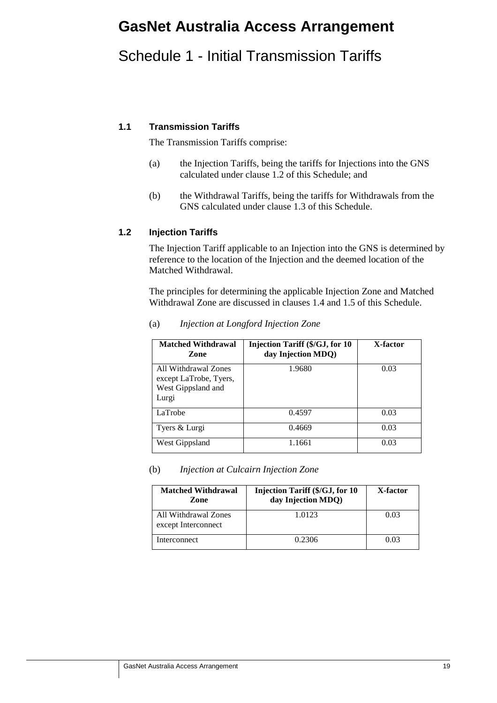# **GasNet Australia Access Arrangement**

# Schedule 1 - Initial Transmission Tariffs

### **1.1 Transmission Tariffs**

The Transmission Tariffs comprise:

- (a) the Injection Tariffs, being the tariffs for Injections into the GNS calculated under clause 1.2 of this Schedule; and
- (b) the Withdrawal Tariffs, being the tariffs for Withdrawals from the GNS calculated under clause 1.3 of this Schedule.

### **1.2 Injection Tariffs**

The Injection Tariff applicable to an Injection into the GNS is determined by reference to the location of the Injection and the deemed location of the Matched Withdrawal.

The principles for determining the applicable Injection Zone and Matched Withdrawal Zone are discussed in clauses 1.4 and 1.5 of this Schedule.

| <b>Matched Withdrawal</b><br>Zone                                             | <b>Injection Tariff (\$/GJ, for 10)</b><br>day Injection MDQ) | X-factor |
|-------------------------------------------------------------------------------|---------------------------------------------------------------|----------|
| All Withdrawal Zones<br>except LaTrobe, Tyers,<br>West Gippsland and<br>Lurgi | 1.9680                                                        | 0.03     |
| LaTrobe                                                                       | 0.4597                                                        | 0.03     |
| Tyers & Lurgi                                                                 | 0.4669                                                        | 0.03     |
| West Gippsland                                                                | 1.1661                                                        | 0.03     |

### (a) *Injection at Longford Injection Zone*

#### (b) *Injection at Culcairn Injection Zone*

| <b>Matched Withdrawal</b><br>Zone           | <b>Injection Tariff (\$/GJ, for 10</b><br>day Injection MDQ) | X-factor |
|---------------------------------------------|--------------------------------------------------------------|----------|
| All Withdrawal Zones<br>except Interconnect | 1.0123                                                       | 0.03     |
| Interconnect                                | 0.2306                                                       | 0.03     |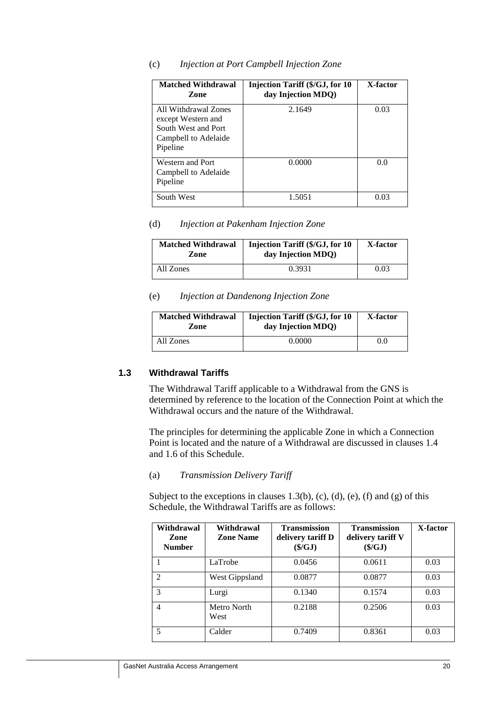| <b>Matched Withdrawal</b><br>Zone                                                                     | Injection Tariff (\$/GJ, for 10<br>day Injection MDQ) | X-factor |
|-------------------------------------------------------------------------------------------------------|-------------------------------------------------------|----------|
| All Withdrawal Zones<br>except Western and<br>South West and Port<br>Campbell to Adelaide<br>Pipeline | 2.1649                                                | 0.03     |
| Western and Port<br>Campbell to Adelaide<br>Pipeline                                                  | 0.0000                                                | 0.0      |
| South West                                                                                            | 1.5051                                                | 0.03     |

#### (c) *Injection at Port Campbell Injection Zone*

#### (d) *Injection at Pakenham Injection Zone*

| <b>Matched Withdrawal</b><br>Zone | <b>Injection Tariff (\$/GJ, for 10)</b><br>day Injection MDQ) | X-factor |
|-----------------------------------|---------------------------------------------------------------|----------|
| All Zones                         | 0.3931                                                        | 0.03     |

#### (e) *Injection at Dandenong Injection Zone*

| <b>Matched Withdrawal</b><br>Zone | Injection Tariff (\$/GJ, for 10<br>day Injection MDQ) | X-factor |  |
|-----------------------------------|-------------------------------------------------------|----------|--|
| All Zones                         | 0.0000                                                | 0.0      |  |

### **1.3 Withdrawal Tariffs**

The Withdrawal Tariff applicable to a Withdrawal from the GNS is determined by reference to the location of the Connection Point at which the Withdrawal occurs and the nature of the Withdrawal.

The principles for determining the applicable Zone in which a Connection Point is located and the nature of a Withdrawal are discussed in clauses 1.4 and 1.6 of this Schedule.

### (a) *Transmission Delivery Tariff*

Subject to the exceptions in clauses  $1.3(b)$ , (c), (d), (e), (f) and (g) of this Schedule, the Withdrawal Tariffs are as follows:

| Withdrawal<br>Zone<br><b>Number</b> | Withdrawal<br><b>Zone Name</b> | <b>Transmission</b><br>delivery tariff D<br>$(\frac{C}{3}/GJ)$ | <b>Transmission</b><br>delivery tariff V<br>$(\frac{C}{2})$ | X-factor |
|-------------------------------------|--------------------------------|----------------------------------------------------------------|-------------------------------------------------------------|----------|
|                                     | LaTrobe                        | 0.0456                                                         | 0.0611                                                      | 0.03     |
| $\mathcal{D}$                       | West Gippsland                 | 0.0877                                                         | 0.0877                                                      | 0.03     |
| 3                                   | Lurgi                          | 0.1340                                                         | 0.1574                                                      | 0.03     |
| 4                                   | Metro North<br>West            | 0.2188                                                         | 0.2506                                                      | 0.03     |
| 5                                   | Calder                         | 0.7409                                                         | 0.8361                                                      | 0.03     |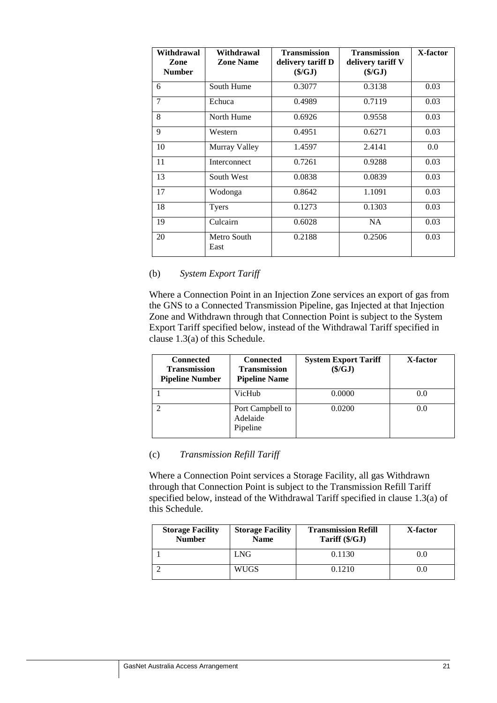| Withdrawal<br>Zone<br><b>Number</b> | Withdrawal<br><b>Zone Name</b> | <b>Transmission</b><br>delivery tariff D<br>$(\frac{C}{3}/GJ)$ | <b>Transmission</b><br>delivery tariff V<br>$(\frac{S}{GI})$ | X-factor |
|-------------------------------------|--------------------------------|----------------------------------------------------------------|--------------------------------------------------------------|----------|
| 6                                   | South Hume                     | 0.3077                                                         | 0.3138                                                       | 0.03     |
| 7                                   | Echuca                         | 0.4989                                                         | 0.7119                                                       | 0.03     |
| 8                                   | North Hume                     | 0.6926                                                         | 0.9558                                                       | 0.03     |
| 9                                   | Western                        | 0.4951                                                         | 0.6271                                                       | 0.03     |
| 10                                  | Murray Valley                  | 1.4597                                                         | 2.4141                                                       | 0.0      |
| 11                                  | Interconnect                   | 0.7261                                                         | 0.9288                                                       | 0.03     |
| 13                                  | South West                     | 0.0838                                                         | 0.0839                                                       | 0.03     |
| 17                                  | Wodonga                        | 0.8642                                                         | 1.1091                                                       | 0.03     |
| 18                                  | <b>Tyers</b>                   | 0.1273                                                         | 0.1303                                                       | 0.03     |
| 19                                  | Culcairn                       | 0.6028                                                         | <b>NA</b>                                                    | 0.03     |
| 20                                  | Metro South<br>East            | 0.2188                                                         | 0.2506                                                       | 0.03     |

### (b) *System Export Tariff*

Where a Connection Point in an Injection Zone services an export of gas from the GNS to a Connected Transmission Pipeline, gas Injected at that Injection Zone and Withdrawn through that Connection Point is subject to the System Export Tariff specified below, instead of the Withdrawal Tariff specified in clause 1.3(a) of this Schedule.

| <b>Connected</b><br><b>Transmission</b><br><b>Pipeline Number</b> | <b>Connected</b><br>Transmission<br><b>Pipeline Name</b> | <b>System Export Tariff</b><br>$(\frac{$}{G}J)$ | X-factor |
|-------------------------------------------------------------------|----------------------------------------------------------|-------------------------------------------------|----------|
|                                                                   | VicHub                                                   | 0.0000                                          | 0.0      |
|                                                                   | Port Campbell to<br>Adelaide<br>Pipeline                 | 0.0200                                          | 0.0      |

### (c) *Transmission Refill Tariff*

Where a Connection Point services a Storage Facility, all gas Withdrawn through that Connection Point is subject to the Transmission Refill Tariff specified below, instead of the Withdrawal Tariff specified in clause 1.3(a) of this Schedule.

| <b>Storage Facility</b><br><b>Number</b> | <b>Storage Facility</b><br><b>Name</b> | <b>Transmission Refill</b><br>Tariff (\$/GJ) | X-factor |
|------------------------------------------|----------------------------------------|----------------------------------------------|----------|
|                                          | LNG                                    | 0.1130                                       | 0.0      |
|                                          | WUGS                                   | 0.1210                                       | 0.0      |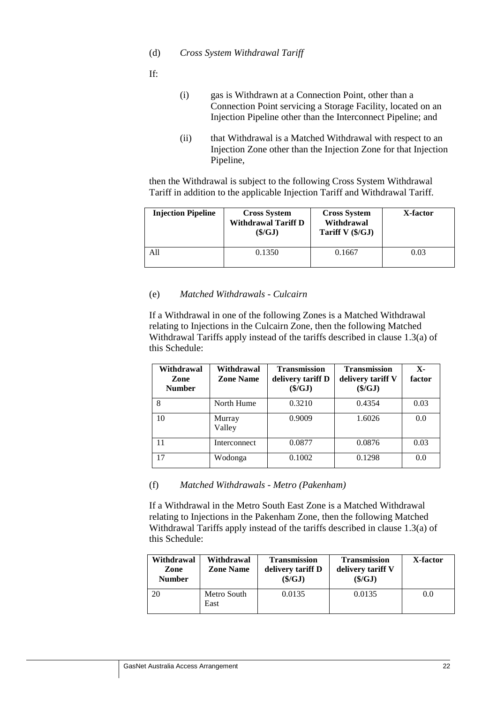(d) *Cross System Withdrawal Tariff*

If:

- (i) gas is Withdrawn at a Connection Point, other than a Connection Point servicing a Storage Facility, located on an Injection Pipeline other than the Interconnect Pipeline; and
- (ii) that Withdrawal is a Matched Withdrawal with respect to an Injection Zone other than the Injection Zone for that Injection Pipeline,

then the Withdrawal is subject to the following Cross System Withdrawal Tariff in addition to the applicable Injection Tariff and Withdrawal Tariff.

| <b>Injection Pipeline</b> | <b>Cross System</b><br><b>Withdrawal Tariff D</b><br>(\$/GJ) | <b>Cross System</b><br>Withdrawal<br>Tariff V (\$/GJ) | X-factor |
|---------------------------|--------------------------------------------------------------|-------------------------------------------------------|----------|
| A11                       | 0.1350                                                       | 0.1667                                                | 0.03     |

### (e) *Matched Withdrawals - Culcairn*

If a Withdrawal in one of the following Zones is a Matched Withdrawal relating to Injections in the Culcairn Zone, then the following Matched Withdrawal Tariffs apply instead of the tariffs described in clause 1.3(a) of this Schedule:

| Withdrawal<br>Zone<br><b>Number</b> | Withdrawal<br><b>Zone Name</b> | Transmission<br>delivery tariff D<br>$(\frac{C}{2})$ | <b>Transmission</b><br>delivery tariff V<br>(\$/GJ) | $\mathbf{x}$<br>factor |
|-------------------------------------|--------------------------------|------------------------------------------------------|-----------------------------------------------------|------------------------|
| 8                                   | North Hume                     | 0.3210                                               | 0.4354                                              | 0.03                   |
| 10                                  | Murray<br>Valley               | 0.9009                                               | 1.6026                                              | 0.0                    |
| 11                                  | Interconnect                   | 0.0877                                               | 0.0876                                              | 0.03                   |
| 17                                  | Wodonga                        | 0.1002                                               | 0.1298                                              | 0.0                    |

(f) *Matched Withdrawals - Metro (Pakenham)*

If a Withdrawal in the Metro South East Zone is a Matched Withdrawal relating to Injections in the Pakenham Zone, then the following Matched Withdrawal Tariffs apply instead of the tariffs described in clause 1.3(a) of this Schedule:

| Withdrawal<br>Zone<br><b>Number</b> | Withdrawal<br><b>Zone Name</b> | <b>Transmission</b><br>delivery tariff D<br>$(\frac{6}{G}J)$ | <b>Transmission</b><br>delivery tariff V<br>(\$/GJ) | X-factor |
|-------------------------------------|--------------------------------|--------------------------------------------------------------|-----------------------------------------------------|----------|
|                                     | Metro South<br>East            | 0.0135                                                       | 0.0135                                              | 0.0      |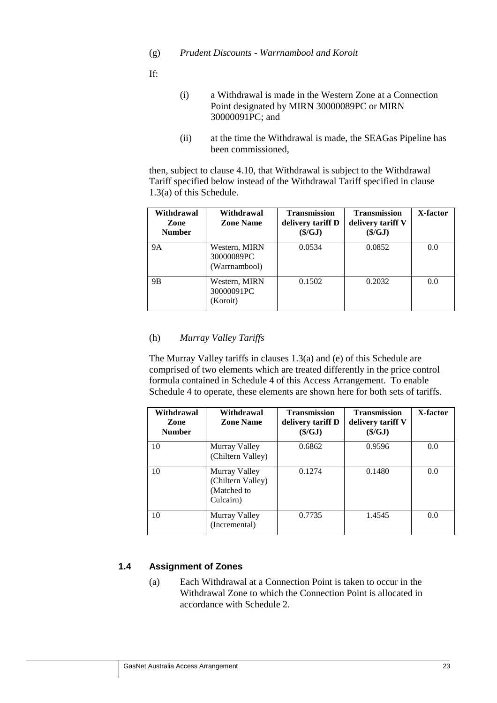(g) *Prudent Discounts - Warrnambool and Koroit*

If:

- (i) a Withdrawal is made in the Western Zone at a Connection Point designated by MIRN 30000089PC or MIRN 30000091PC; and
- (ii) at the time the Withdrawal is made, the SEAGas Pipeline has been commissioned,

then, subject to clause 4.10, that Withdrawal is subject to the Withdrawal Tariff specified below instead of the Withdrawal Tariff specified in clause 1.3(a) of this Schedule.

| Withdrawal<br>Zone<br><b>Number</b> | Withdrawal<br><b>Zone Name</b>               | <b>Transmission</b><br>delivery tariff D<br>(S/GJ) | <b>Transmission</b><br>delivery tariff V<br>$(\frac{C}{3}/GJ)$ | X-factor |
|-------------------------------------|----------------------------------------------|----------------------------------------------------|----------------------------------------------------------------|----------|
| <b>9A</b>                           | Western, MIRN<br>30000089PC<br>(Warrnambool) | 0.0534                                             | 0.0852                                                         | 0.0      |
| 9 <sub>B</sub>                      | Western, MIRN<br>30000091PC<br>Koroit)       | 0.1502                                             | 0.2032                                                         | 0.0      |

### (h) *Murray Valley Tariffs*

The Murray Valley tariffs in clauses 1.3(a) and (e) of this Schedule are comprised of two elements which are treated differently in the price control formula contained in Schedule 4 of this Access Arrangement. To enable Schedule 4 to operate, these elements are shown here for both sets of tariffs.

| Withdrawal<br>Zone<br><b>Number</b> | Withdrawal<br><b>Zone Name</b>                                 | <b>Transmission</b><br>delivery tariff D<br>(S/GJ) | <b>Transmission</b><br>delivery tariff V<br>$(\frac{C}{3}/GJ)$ | X-factor |
|-------------------------------------|----------------------------------------------------------------|----------------------------------------------------|----------------------------------------------------------------|----------|
| 10                                  | Murray Valley<br>(Chiltern Valley)                             | 0.6862                                             | 0.9596                                                         | 0.0      |
| 10                                  | Murray Valley<br>(Chiltern Valley)<br>(Matched to<br>Culcairn) | 0.1274                                             | 0.1480                                                         | 0.0      |
| 10                                  | Murray Valley<br>(Incremental)                                 | 0.7735                                             | 1.4545                                                         | 0.0      |

### **1.4 Assignment of Zones**

(a) Each Withdrawal at a Connection Point is taken to occur in the Withdrawal Zone to which the Connection Point is allocated in accordance with Schedule 2.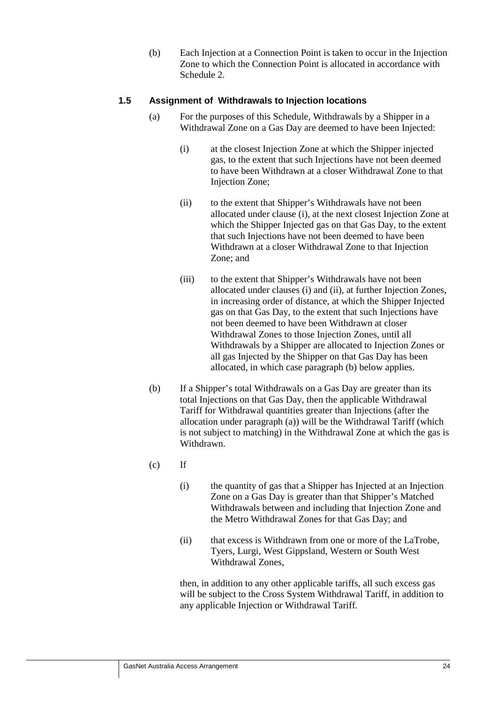(b) Each Injection at a Connection Point is taken to occur in the Injection Zone to which the Connection Point is allocated in accordance with Schedule 2.

### **1.5 Assignment of Withdrawals to Injection locations**

- (a) For the purposes of this Schedule, Withdrawals by a Shipper in a Withdrawal Zone on a Gas Day are deemed to have been Injected:
	- (i) at the closest Injection Zone at which the Shipper injected gas, to the extent that such Injections have not been deemed to have been Withdrawn at a closer Withdrawal Zone to that Injection Zone;
	- (ii) to the extent that Shipper's Withdrawals have not been allocated under clause (i), at the next closest Injection Zone at which the Shipper Injected gas on that Gas Day, to the extent that such Injections have not been deemed to have been Withdrawn at a closer Withdrawal Zone to that Injection Zone; and
	- (iii) to the extent that Shipper's Withdrawals have not been allocated under clauses (i) and (ii), at further Injection Zones, in increasing order of distance, at which the Shipper Injected gas on that Gas Day, to the extent that such Injections have not been deemed to have been Withdrawn at closer Withdrawal Zones to those Injection Zones, until all Withdrawals by a Shipper are allocated to Injection Zones or all gas Injected by the Shipper on that Gas Day has been allocated, in which case paragraph (b) below applies.
- (b) If a Shipper's total Withdrawals on a Gas Day are greater than its total Injections on that Gas Day, then the applicable Withdrawal Tariff for Withdrawal quantities greater than Injections (after the allocation under paragraph (a)) will be the Withdrawal Tariff (which is not subject to matching) in the Withdrawal Zone at which the gas is Withdrawn.
- $(c)$  If
	- (i) the quantity of gas that a Shipper has Injected at an Injection Zone on a Gas Day is greater than that Shipper's Matched Withdrawals between and including that Injection Zone and the Metro Withdrawal Zones for that Gas Day; and
	- (ii) that excess is Withdrawn from one or more of the LaTrobe, Tyers, Lurgi, West Gippsland, Western or South West Withdrawal Zones,

then, in addition to any other applicable tariffs, all such excess gas will be subject to the Cross System Withdrawal Tariff, in addition to any applicable Injection or Withdrawal Tariff.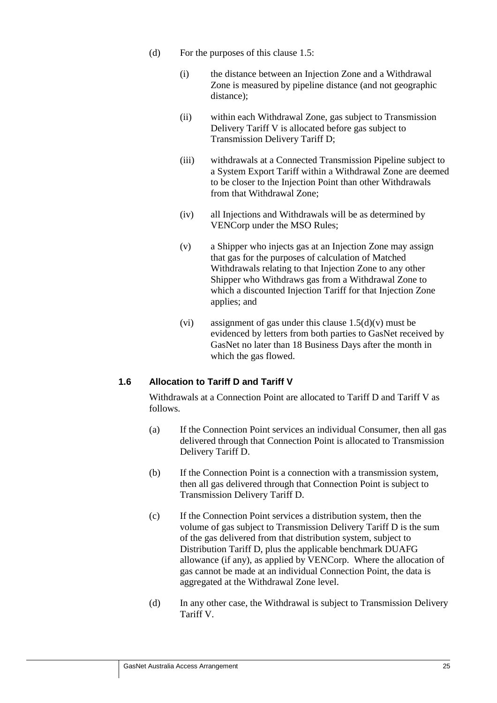- (d) For the purposes of this clause 1.5:
	- (i) the distance between an Injection Zone and a Withdrawal Zone is measured by pipeline distance (and not geographic distance);
	- (ii) within each Withdrawal Zone, gas subject to Transmission Delivery Tariff V is allocated before gas subject to Transmission Delivery Tariff D;
	- (iii) withdrawals at a Connected Transmission Pipeline subject to a System Export Tariff within a Withdrawal Zone are deemed to be closer to the Injection Point than other Withdrawals from that Withdrawal Zone;
	- (iv) all Injections and Withdrawals will be as determined by VENCorp under the MSO Rules;
	- (v) a Shipper who injects gas at an Injection Zone may assign that gas for the purposes of calculation of Matched Withdrawals relating to that Injection Zone to any other Shipper who Withdraws gas from a Withdrawal Zone to which a discounted Injection Tariff for that Injection Zone applies; and
	- (vi) assignment of gas under this clause  $1.5(d)(v)$  must be evidenced by letters from both parties to GasNet received by GasNet no later than 18 Business Days after the month in which the gas flowed.

### **1.6 Allocation to Tariff D and Tariff V**

Withdrawals at a Connection Point are allocated to Tariff D and Tariff V as follows.

- (a) If the Connection Point services an individual Consumer, then all gas delivered through that Connection Point is allocated to Transmission Delivery Tariff D.
- (b) If the Connection Point is a connection with a transmission system, then all gas delivered through that Connection Point is subject to Transmission Delivery Tariff D.
- (c) If the Connection Point services a distribution system, then the volume of gas subject to Transmission Delivery Tariff D is the sum of the gas delivered from that distribution system, subject to Distribution Tariff D, plus the applicable benchmark DUAFG allowance (if any), as applied by VENCorp. Where the allocation of gas cannot be made at an individual Connection Point, the data is aggregated at the Withdrawal Zone level.
- (d) In any other case, the Withdrawal is subject to Transmission Delivery Tariff V.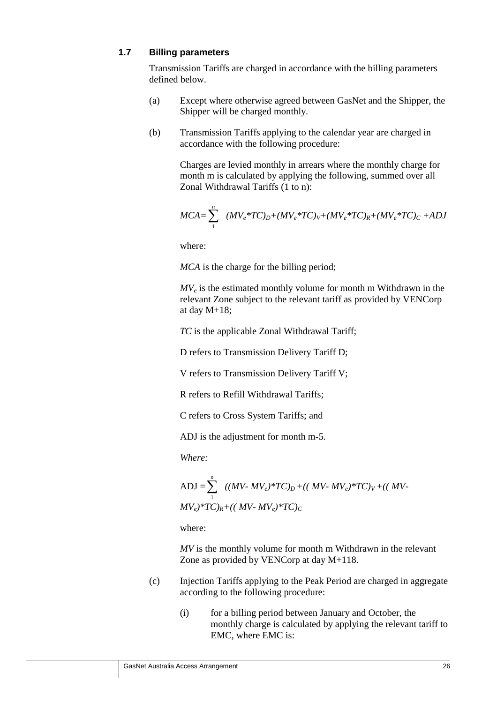### **1.7 Billing parameters**

Transmission Tariffs are charged in accordance with the billing parameters defined below.

- (a) Except where otherwise agreed between GasNet and the Shipper, the Shipper will be charged monthly.
- (b) Transmission Tariffs applying to the calendar year are charged in accordance with the following procedure:

Charges are levied monthly in arrears where the monthly charge for month m is calculated by applying the following, summed over all Zonal Withdrawal Tariffs (1 to n):

$$
MCA = \sum_{1}^{n} (MV_e * TC)_{D} + (MV_e * TC)_{V} + (MV_e * TC)_{R} + (MV_e * TC)_{C} + ADJ
$$

where:

*MCA* is the charge for the billing period;

*MV<sub>e</sub>* is the estimated monthly volume for month m Withdrawn in the relevant Zone subject to the relevant tariff as provided by VENCorp at day M+18;

*TC* is the applicable Zonal Withdrawal Tariff;

D refers to Transmission Delivery Tariff D;

V refers to Transmission Delivery Tariff V;

R refers to Refill Withdrawal Tariffs;

C refers to Cross System Tariffs; and

ADJ is the adjustment for month m-5*.* 

*Where:* 

$$
ADJ = \sum_{1}^{n} ((MV - MV_e)*TC)_D + ((MV - MV_e)*TC)_V + ((MV - MV_e)*TC)_R + ((MV - MV_e)*TC)_C
$$

where:

*MV* is the monthly volume for month m Withdrawn in the relevant Zone as provided by VENCorp at day M+118.

- (c) Injection Tariffs applying to the Peak Period are charged in aggregate according to the following procedure:
	- (i) for a billing period between January and October, the monthly charge is calculated by applying the relevant tariff to EMC, where EMC is: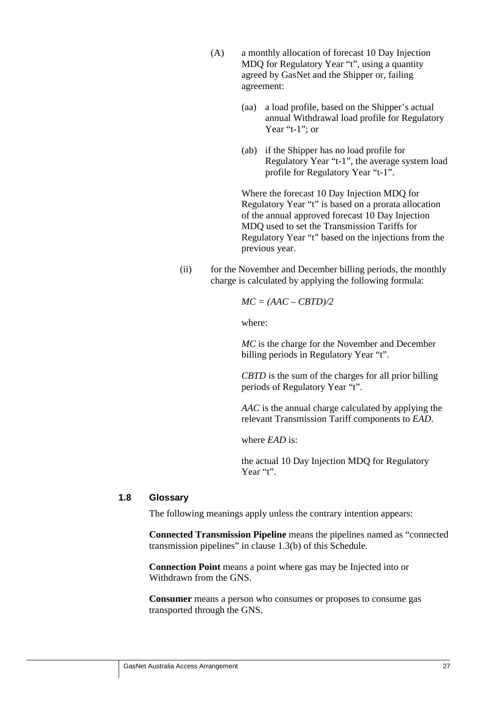- (A) a monthly allocation of forecast 10 Day Injection MDQ for Regulatory Year "t"*,* using a quantity agreed by GasNet and the Shipper or, failing agreement:
	- (aa) a load profile, based on the Shipper's actual annual Withdrawal load profile for Regulatory Year "t-1"; or
	- (ab) if the Shipper has no load profile for Regulatory Year "t-1", the average system load profile for Regulatory Year "t-1".

Where the forecast 10 Day Injection MDQ for Regulatory Year "t" is based on a prorata allocation of the annual approved forecast 10 Day Injection MDQ used to set the Transmission Tariffs for Regulatory Year "t" based on the injections from the previous year.

(ii) for the November and December billing periods, the monthly charge is calculated by applying the following formula:

*MC = (AAC – CBTD)/2* 

where:

*MC* is the charge for the November and December billing periods in Regulatory Year "t".

*CBTD* is the sum of the charges for all prior billing periods of Regulatory Year "t".

*AAC* is the annual charge calculated by applying the relevant Transmission Tariff components to *EAD*.

where *EAD* is:

the actual 10 Day Injection MDQ for Regulatory Year "t".

### **1.8 Glossary**

The following meanings apply unless the contrary intention appears:

**Connected Transmission Pipeline** means the pipelines named as "connected transmission pipelines" in clause 1.3(b) of this Schedule.

**Connection Point** means a point where gas may be Injected into or Withdrawn from the GNS.

**Consumer** means a person who consumes or proposes to consume gas transported through the GNS.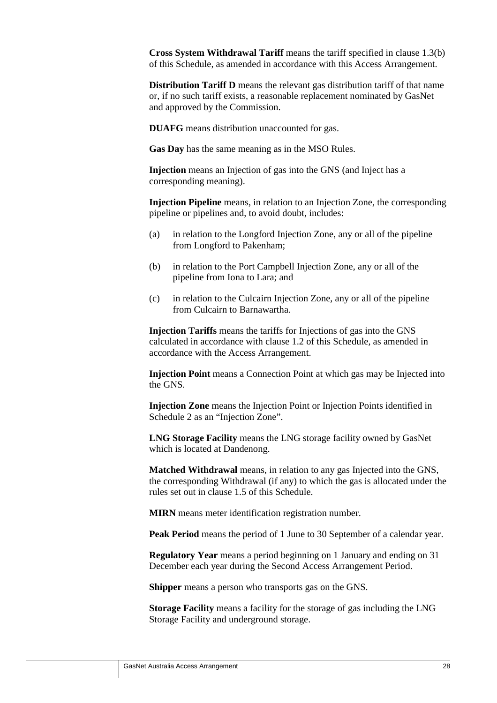**Cross System Withdrawal Tariff** means the tariff specified in clause 1.3(b) of this Schedule, as amended in accordance with this Access Arrangement.

**Distribution Tariff D** means the relevant gas distribution tariff of that name or, if no such tariff exists, a reasonable replacement nominated by GasNet and approved by the Commission.

**DUAFG** means distribution unaccounted for gas.

**Gas Day** has the same meaning as in the MSO Rules.

**Injection** means an Injection of gas into the GNS (and Inject has a corresponding meaning).

**Injection Pipeline** means, in relation to an Injection Zone, the corresponding pipeline or pipelines and, to avoid doubt, includes:

- (a) in relation to the Longford Injection Zone, any or all of the pipeline from Longford to Pakenham;
- (b) in relation to the Port Campbell Injection Zone, any or all of the pipeline from Iona to Lara; and
- (c) in relation to the Culcairn Injection Zone, any or all of the pipeline from Culcairn to Barnawartha.

**Injection Tariffs** means the tariffs for Injections of gas into the GNS calculated in accordance with clause 1.2 of this Schedule, as amended in accordance with the Access Arrangement.

**Injection Point** means a Connection Point at which gas may be Injected into the GNS.

**Injection Zone** means the Injection Point or Injection Points identified in Schedule 2 as an "Injection Zone".

**LNG Storage Facility** means the LNG storage facility owned by GasNet which is located at Dandenong.

**Matched Withdrawal** means, in relation to any gas Injected into the GNS, the corresponding Withdrawal (if any) to which the gas is allocated under the rules set out in clause 1.5 of this Schedule.

**MIRN** means meter identification registration number.

**Peak Period** means the period of 1 June to 30 September of a calendar year.

**Regulatory Year** means a period beginning on 1 January and ending on 31 December each year during the Second Access Arrangement Period.

**Shipper** means a person who transports gas on the GNS.

**Storage Facility** means a facility for the storage of gas including the LNG Storage Facility and underground storage.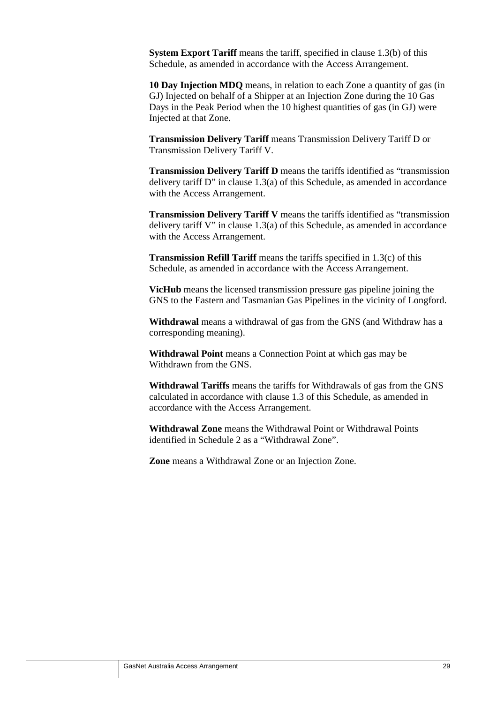**System Export Tariff** means the tariff, specified in clause 1.3(b) of this Schedule, as amended in accordance with the Access Arrangement.

**10 Day Injection MDQ** means, in relation to each Zone a quantity of gas (in GJ) Injected on behalf of a Shipper at an Injection Zone during the 10 Gas Days in the Peak Period when the 10 highest quantities of gas (in GJ) were Injected at that Zone.

**Transmission Delivery Tariff** means Transmission Delivery Tariff D or Transmission Delivery Tariff V.

**Transmission Delivery Tariff D** means the tariffs identified as "transmission delivery tariff D" in clause 1.3(a) of this Schedule, as amended in accordance with the Access Arrangement.

**Transmission Delivery Tariff V** means the tariffs identified as "transmission delivery tariff V" in clause 1.3(a) of this Schedule, as amended in accordance with the Access Arrangement.

**Transmission Refill Tariff** means the tariffs specified in 1.3(c) of this Schedule, as amended in accordance with the Access Arrangement.

**VicHub** means the licensed transmission pressure gas pipeline joining the GNS to the Eastern and Tasmanian Gas Pipelines in the vicinity of Longford.

**Withdrawal** means a withdrawal of gas from the GNS (and Withdraw has a corresponding meaning).

**Withdrawal Point** means a Connection Point at which gas may be Withdrawn from the GNS.

**Withdrawal Tariffs** means the tariffs for Withdrawals of gas from the GNS calculated in accordance with clause 1.3 of this Schedule, as amended in accordance with the Access Arrangement.

**Withdrawal Zone** means the Withdrawal Point or Withdrawal Points identified in Schedule 2 as a "Withdrawal Zone".

**Zone** means a Withdrawal Zone or an Injection Zone.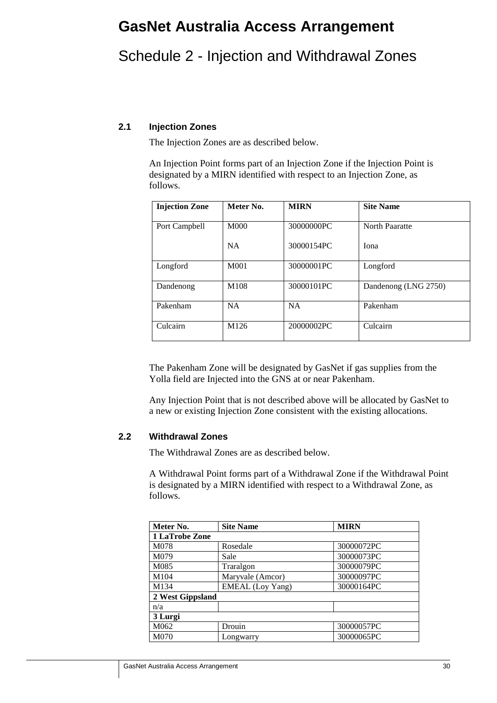# **GasNet Australia Access Arrangement**

# Schedule 2 - Injection and Withdrawal Zones

### **2.1 Injection Zones**

The Injection Zones are as described below.

An Injection Point forms part of an Injection Zone if the Injection Point is designated by a MIRN identified with respect to an Injection Zone, as follows.

| <b>Injection Zone</b> | Meter No.        | <b>MIRN</b> | <b>Site Name</b>     |
|-----------------------|------------------|-------------|----------------------|
| Port Campbell         | M000             | 30000000PC  | North Paaratte       |
|                       | <b>NA</b>        | 30000154PC  | Iona                 |
| Longford              | M <sub>001</sub> | 30000001PC  | Longford             |
| Dandenong             | M <sub>108</sub> | 30000101PC  | Dandenong (LNG 2750) |
| Pakenham              | <b>NA</b>        | <b>NA</b>   | Pakenham             |
| Culcairn              | M126             | 20000002PC  | Culcairn             |

The Pakenham Zone will be designated by GasNet if gas supplies from the Yolla field are Injected into the GNS at or near Pakenham.

Any Injection Point that is not described above will be allocated by GasNet to a new or existing Injection Zone consistent with the existing allocations.

### **2.2 Withdrawal Zones**

The Withdrawal Zones are as described below.

A Withdrawal Point forms part of a Withdrawal Zone if the Withdrawal Point is designated by a MIRN identified with respect to a Withdrawal Zone, as follows.

| Meter No.      | <b>Site Name</b>        | <b>MIRN</b> |  |  |
|----------------|-------------------------|-------------|--|--|
| 1 LaTrobe Zone |                         |             |  |  |
| M078           | Rosedale                | 30000072PC  |  |  |
| M079           | Sale                    | 30000073PC  |  |  |
| M085           | Traralgon               | 30000079PC  |  |  |
| M104           | Maryvale (Amcor)        | 30000097PC  |  |  |
| M134           | <b>EMEAL</b> (Loy Yang) | 30000164PC  |  |  |
|                | 2 West Gippsland        |             |  |  |
| n/a            |                         |             |  |  |
| 3 Lurgi        |                         |             |  |  |
| M062           | Drouin                  | 30000057PC  |  |  |
| M070           | Longwarry               | 30000065PC  |  |  |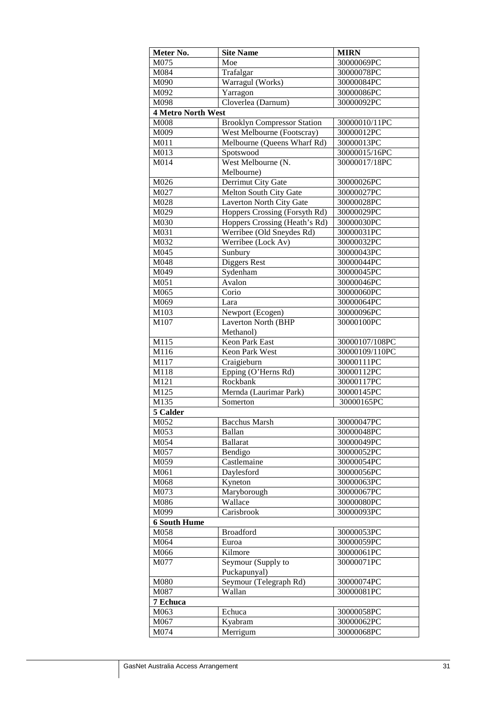| Meter No.                 | <b>Site Name</b>                   | <b>MIRN</b>    |
|---------------------------|------------------------------------|----------------|
| M075                      | Moe                                | 30000069PC     |
| M084                      | Trafalgar                          | 30000078PC     |
| M090                      | Warragul (Works)                   | 30000084PC     |
| M092                      | Yarragon                           | 30000086PC     |
| M098                      | Cloverlea (Darnum)                 | 30000092PC     |
| <b>4 Metro North West</b> |                                    |                |
| M008                      | <b>Brooklyn Compressor Station</b> | 30000010/11PC  |
| M009                      | West Melbourne (Footscray)         | 30000012PC     |
| M011                      | Melbourne (Queens Wharf Rd)        | 30000013PC     |
| M013                      | Spotswood                          | 30000015/16PC  |
| M014                      | West Melbourne (N.                 | 30000017/18PC  |
|                           | Melbourne)                         |                |
| M026                      | Derrimut City Gate                 | 30000026PC     |
| M027                      | Melton South City Gate             | 30000027PC     |
| M028                      | Laverton North City Gate           | 30000028PC     |
| M029                      | Hoppers Crossing (Forsyth Rd)      | 30000029PC     |
| M030                      | Hoppers Crossing (Heath's Rd)      | 30000030PC     |
| M031                      | Werribee (Old Sneydes Rd)          | 30000031PC     |
| M032                      | Werribee (Lock Av)                 | 30000032PC     |
| M045                      | Sunbury                            | 30000043PC     |
| M048                      | Diggers Rest                       | 30000044PC     |
| M049                      | Sydenham                           | 30000045PC     |
| M051                      | Avalon                             | 30000046PC     |
| M065                      | Corio                              | 30000060PC     |
| M069                      | Lara                               | 30000064PC     |
| M103                      | Newport (Ecogen)                   | 30000096PC     |
| M107                      | Laverton North (BHP                | 30000100PC     |
|                           | Methanol)                          |                |
| M115                      | <b>Keon Park East</b>              | 30000107/108PC |
| M116                      | Keon Park West                     | 30000109/110PC |
| M117                      | Craigieburn                        | 30000111PC     |
| M118                      | Epping (O'Herns Rd)                | 30000112PC     |
| M121                      | Rockbank                           | 30000117PC     |
| M125                      | Mernda (Laurimar Park)             | 30000145PC     |
| M135                      | Somerton                           | 30000165PC     |
| 5 Calder                  |                                    |                |
| M052                      | <b>Bacchus Marsh</b>               | 30000047PC     |
| M053                      | Ballan                             | 30000048PC     |
| M054                      | <b>Ballarat</b>                    | 30000049PC     |
| M057                      | Bendigo                            | 30000052PC     |
| M059                      | Castlemaine                        | 30000054PC     |
| M061                      | Daylesford                         | 30000056PC     |
| M068                      | Kyneton                            | 30000063PC     |
| M073                      | Maryborough                        | 30000067PC     |
| M086                      | Wallace                            | 30000080PC     |
| M099                      | Carisbrook                         | 30000093PC     |
| <b>6 South Hume</b>       |                                    |                |
| M058                      | <b>Broadford</b>                   | 30000053PC     |
| M064                      | Euroa                              | 30000059PC     |
| M066                      | Kilmore                            | 30000061PC     |
| M077                      | Seymour (Supply to                 | 30000071PC     |
|                           | Puckapunyal)                       |                |
| M080                      | Seymour (Telegraph Rd)             | 30000074PC     |
| M087                      | Wallan                             | 30000081PC     |
| 7 Echuca                  |                                    |                |
| M063                      | Echuca                             | 30000058PC     |
| M067                      | Kyabram                            | 30000062PC     |
| M074                      | Merrigum                           | 30000068PC     |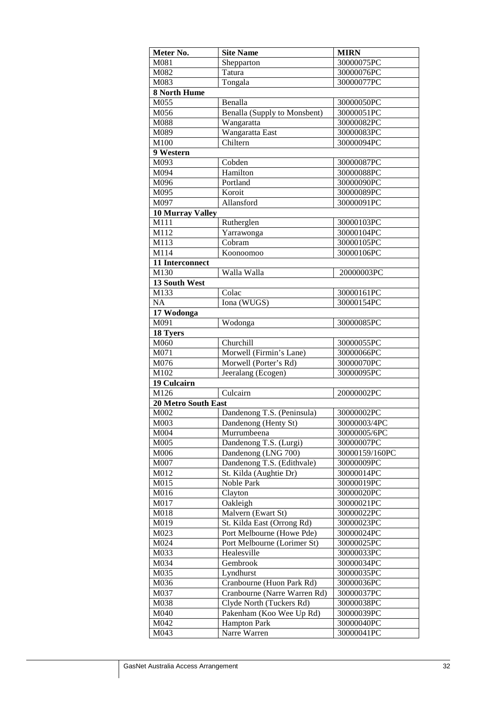| Meter No.               | <b>Site Name</b>             | <b>MIRN</b>    |
|-------------------------|------------------------------|----------------|
| M081                    | Shepparton                   | 30000075PC     |
| M082                    | Tatura                       | 30000076PC     |
| M083                    | Tongala                      | 30000077PC     |
| 8 North Hume            |                              |                |
| M055                    | Benalla                      | 30000050PC     |
| M056                    | Benalla (Supply to Monsbent) | 30000051PC     |
| M088                    | Wangaratta                   | 30000082PC     |
| M089                    | Wangaratta East              | 30000083PC     |
| M100                    | Chiltern                     | 30000094PC     |
| 9 Western               |                              |                |
| M093                    | Cobden                       | 30000087PC     |
| M094                    | Hamilton                     | 30000088PC     |
| M096                    | Portland                     | 30000090PC     |
| M095                    | Koroit                       | 30000089PC     |
| M097                    | Allansford                   | 30000091PC     |
| <b>10 Murray Valley</b> |                              |                |
| M111                    | Rutherglen                   | 30000103PC     |
| M112                    | Yarrawonga                   | 30000104PC     |
| M113                    | Cobram                       | 30000105PC     |
| M114                    | Koonoomoo                    | 30000106PC     |
| 11 Interconnect         |                              |                |
| M130                    | Walla Walla                  | 20000003PC     |
| 13 South West           |                              |                |
| M133                    | Colac                        | 30000161PC     |
| NA                      | Iona (WUGS)                  | 30000154PC     |
| 17 Wodonga              |                              |                |
| M091                    | Wodonga                      | 30000085PC     |
| 18 Tyers                |                              |                |
| M060                    | Churchill                    | 30000055PC     |
| M071                    | Morwell (Firmin's Lane)      | 30000066PC     |
| M076                    | Morwell (Porter's Rd)        | 30000070PC     |
| M102                    | Jeeralang (Ecogen)           | 30000095PC     |
| 19 Culcairn             |                              |                |
| M126                    | Culcairn                     | 20000002PC     |
| 20 Metro South East     |                              |                |
| M002                    | Dandenong T.S. (Peninsula)   | 30000002PC     |
| $\overline{M}003$       | Dandenong (Henty St)         | 30000003/4PC   |
| M004                    | Murrumbeena                  | 30000005/6PC   |
| M005                    | Dandenong T.S. (Lurgi)       | 30000007PC     |
| M006                    | Dandenong (LNG 700)          | 30000159/160PC |
| M007                    | Dandenong T.S. (Edithvale)   | 30000009PC     |
| M012                    | St. Kilda (Aughtie Dr)       | 30000014PC     |
| M015                    | Noble Park                   | 30000019PC     |
| M016                    | Clayton                      | 30000020PC     |
| M017                    | Oakleigh                     | 30000021PC     |
| M018                    | Malvern (Ewart St)           | 30000022PC     |
| M019                    | St. Kilda East (Orrong Rd)   | 30000023PC     |
| M023                    | Port Melbourne (Howe Pde)    | 30000024PC     |
| M024                    | Port Melbourne (Lorimer St)  | 30000025PC     |
| M033                    | Healesville                  | 30000033PC     |
| M034                    | Gembrook                     | 30000034PC     |
| M035                    | Lyndhurst                    | 30000035PC     |
| M036                    | Cranbourne (Huon Park Rd)    | 30000036PC     |
| M037                    | Cranbourne (Narre Warren Rd) | 30000037PC     |
| M038                    | Clyde North (Tuckers Rd)     | 30000038PC     |
| M040                    | Pakenham (Koo Wee Up Rd)     | 30000039PC     |
| M042                    | <b>Hampton Park</b>          | 30000040PC     |
| M043                    | Narre Warren                 | 30000041PC     |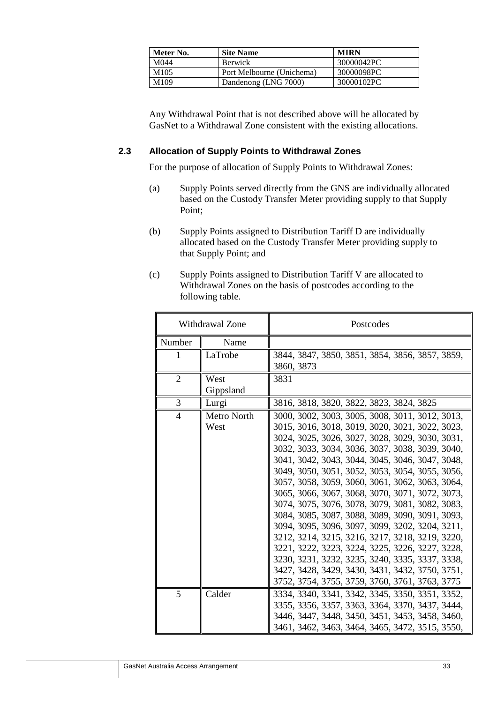| Meter No.        | <b>Site Name</b>          | <b>MIRN</b> |
|------------------|---------------------------|-------------|
| M044             | <b>Berwick</b>            | 30000042PC  |
| M <sub>105</sub> | Port Melbourne (Unichema) | 30000098PC  |
| M <sub>109</sub> | Dandenong (LNG 7000)      | 30000102PC  |

Any Withdrawal Point that is not described above will be allocated by GasNet to a Withdrawal Zone consistent with the existing allocations.

### **2.3 Allocation of Supply Points to Withdrawal Zones**

For the purpose of allocation of Supply Points to Withdrawal Zones:

- (a) Supply Points served directly from the GNS are individually allocated based on the Custody Transfer Meter providing supply to that Supply Point;
- (b) Supply Points assigned to Distribution Tariff D are individually allocated based on the Custody Transfer Meter providing supply to that Supply Point; and
- (c) Supply Points assigned to Distribution Tariff V are allocated to Withdrawal Zones on the basis of postcodes according to the following table.

| Withdrawal Zone |                            | Postcodes                                                                                                                                                                                                                                                                                                                                                                                                                                                                                                                                                                                                                                                                                                                                                                                                                                   |
|-----------------|----------------------------|---------------------------------------------------------------------------------------------------------------------------------------------------------------------------------------------------------------------------------------------------------------------------------------------------------------------------------------------------------------------------------------------------------------------------------------------------------------------------------------------------------------------------------------------------------------------------------------------------------------------------------------------------------------------------------------------------------------------------------------------------------------------------------------------------------------------------------------------|
| Number          | Name                       |                                                                                                                                                                                                                                                                                                                                                                                                                                                                                                                                                                                                                                                                                                                                                                                                                                             |
| L               | LaTrobe                    | 3844, 3847, 3850, 3851, 3854, 3856, 3857, 3859,<br>3860, 3873                                                                                                                                                                                                                                                                                                                                                                                                                                                                                                                                                                                                                                                                                                                                                                               |
| $\overline{2}$  | West<br>Gippsland          | 3831                                                                                                                                                                                                                                                                                                                                                                                                                                                                                                                                                                                                                                                                                                                                                                                                                                        |
| 3               | Lurgi                      | 3816, 3818, 3820, 3822, 3823, 3824, 3825                                                                                                                                                                                                                                                                                                                                                                                                                                                                                                                                                                                                                                                                                                                                                                                                    |
| $\overline{4}$  | <b>Metro North</b><br>West | 3000, 3002, 3003, 3005, 3008, 3011, 3012, 3013,<br>3015, 3016, 3018, 3019, 3020, 3021, 3022, 3023,<br>3024, 3025, 3026, 3027, 3028, 3029, 3030, 3031,<br>3032, 3033, 3034, 3036, 3037, 3038, 3039, 3040,<br>3041, 3042, 3043, 3044, 3045, 3046, 3047, 3048,<br>3049, 3050, 3051, 3052, 3053, 3054, 3055, 3056,<br>3057, 3058, 3059, 3060, 3061, 3062, 3063, 3064,<br>3065, 3066, 3067, 3068, 3070, 3071, 3072, 3073,<br>3074, 3075, 3076, 3078, 3079, 3081, 3082, 3083,<br>3084, 3085, 3087, 3088, 3089, 3090, 3091, 3093,<br>3094, 3095, 3096, 3097, 3099, 3202, 3204, 3211,<br>3212, 3214, 3215, 3216, 3217, 3218, 3219, 3220,<br>3221, 3222, 3223, 3224, 3225, 3226, 3227, 3228,<br>3230, 3231, 3232, 3235, 3240, 3335, 3337, 3338,<br>3427, 3428, 3429, 3430, 3431, 3432, 3750, 3751,<br>3752, 3754, 3755, 3759, 3760, 3761, 3763, 3775 |
| 5               | Calder                     | 3334, 3340, 3341, 3342, 3345, 3350, 3351, 3352,<br>3355, 3356, 3357, 3363, 3364, 3370, 3437, 3444,<br>3446, 3447, 3448, 3450, 3451, 3453, 3458, 3460,<br>3461, 3462, 3463, 3464, 3465, 3472, 3515, 3550,                                                                                                                                                                                                                                                                                                                                                                                                                                                                                                                                                                                                                                    |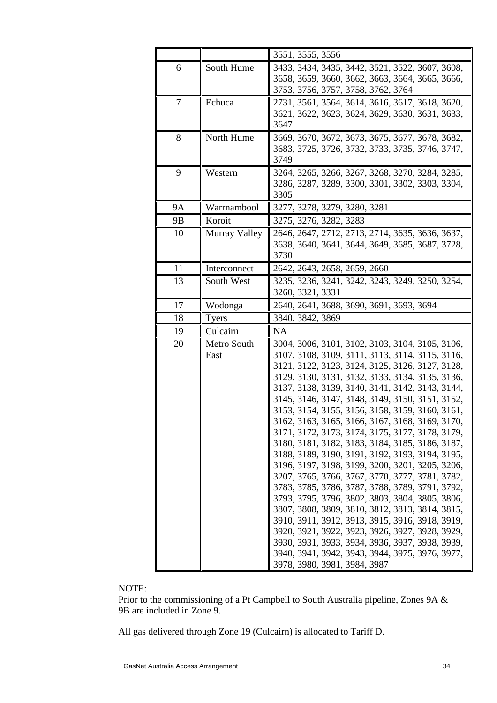|    |                     | 3551, 3555, 3556                                                                                                                                                                                                                                                                                                                                                                                                                                                                                                                                                                                                                                                                                                                                                                                                                                                                                                                                                                                                                                                                         |
|----|---------------------|------------------------------------------------------------------------------------------------------------------------------------------------------------------------------------------------------------------------------------------------------------------------------------------------------------------------------------------------------------------------------------------------------------------------------------------------------------------------------------------------------------------------------------------------------------------------------------------------------------------------------------------------------------------------------------------------------------------------------------------------------------------------------------------------------------------------------------------------------------------------------------------------------------------------------------------------------------------------------------------------------------------------------------------------------------------------------------------|
| 6  | South Hume          | 3433, 3434, 3435, 3442, 3521, 3522, 3607, 3608,<br>3658, 3659, 3660, 3662, 3663, 3664, 3665, 3666,<br>3753, 3756, 3757, 3758, 3762, 3764                                                                                                                                                                                                                                                                                                                                                                                                                                                                                                                                                                                                                                                                                                                                                                                                                                                                                                                                                 |
| 7  | Echuca              | 2731, 3561, 3564, 3614, 3616, 3617, 3618, 3620,<br>3621, 3622, 3623, 3624, 3629, 3630, 3631, 3633,<br>3647                                                                                                                                                                                                                                                                                                                                                                                                                                                                                                                                                                                                                                                                                                                                                                                                                                                                                                                                                                               |
| 8  | North Hume          | 3669, 3670, 3672, 3673, 3675, 3677, 3678, 3682,<br>3683, 3725, 3726, 3732, 3733, 3735, 3746, 3747,<br>3749                                                                                                                                                                                                                                                                                                                                                                                                                                                                                                                                                                                                                                                                                                                                                                                                                                                                                                                                                                               |
| 9  | Western             | 3264, 3265, 3266, 3267, 3268, 3270, 3284, 3285,<br>3286, 3287, 3289, 3300, 3301, 3302, 3303, 3304,<br>3305                                                                                                                                                                                                                                                                                                                                                                                                                                                                                                                                                                                                                                                                                                                                                                                                                                                                                                                                                                               |
| 9Α | Warrnambool         | 3277, 3278, 3279, 3280, 3281                                                                                                                                                                                                                                                                                                                                                                                                                                                                                                                                                                                                                                                                                                                                                                                                                                                                                                                                                                                                                                                             |
| 9B | Koroit              | 3275, 3276, 3282, 3283                                                                                                                                                                                                                                                                                                                                                                                                                                                                                                                                                                                                                                                                                                                                                                                                                                                                                                                                                                                                                                                                   |
| 10 | Murray Valley       | 2646, 2647, 2712, 2713, 2714, 3635, 3636, 3637,<br>3638, 3640, 3641, 3644, 3649, 3685, 3687, 3728,<br>3730                                                                                                                                                                                                                                                                                                                                                                                                                                                                                                                                                                                                                                                                                                                                                                                                                                                                                                                                                                               |
| 11 | Interconnect        | 2642, 2643, 2658, 2659, 2660                                                                                                                                                                                                                                                                                                                                                                                                                                                                                                                                                                                                                                                                                                                                                                                                                                                                                                                                                                                                                                                             |
| 13 | South West          | 3235, 3236, 3241, 3242, 3243, 3249, 3250, 3254,<br>3260, 3321, 3331                                                                                                                                                                                                                                                                                                                                                                                                                                                                                                                                                                                                                                                                                                                                                                                                                                                                                                                                                                                                                      |
| 17 | Wodonga             | 2640, 2641, 3688, 3690, 3691, 3693, 3694                                                                                                                                                                                                                                                                                                                                                                                                                                                                                                                                                                                                                                                                                                                                                                                                                                                                                                                                                                                                                                                 |
| 18 | <b>Tyers</b>        | 3840, 3842, 3869                                                                                                                                                                                                                                                                                                                                                                                                                                                                                                                                                                                                                                                                                                                                                                                                                                                                                                                                                                                                                                                                         |
| 19 | Culcairn            | NA                                                                                                                                                                                                                                                                                                                                                                                                                                                                                                                                                                                                                                                                                                                                                                                                                                                                                                                                                                                                                                                                                       |
| 20 | Metro South<br>East | 3004, 3006, 3101, 3102, 3103, 3104, 3105, 3106,<br>3107, 3108, 3109, 3111, 3113, 3114, 3115, 3116,<br>3121, 3122, 3123, 3124, 3125, 3126, 3127, 3128,<br>3129, 3130, 3131, 3132, 3133, 3134, 3135, 3136,<br>3137, 3138, 3139, 3140, 3141, 3142, 3143, 3144,<br>3145, 3146, 3147, 3148, 3149, 3150, 3151, 3152,<br>3153, 3154, 3155, 3156, 3158, 3159, 3160, 3161,<br>3162, 3163, 3165, 3166, 3167, 3168, 3169, 3170,<br>3171, 3172, 3173, 3174, 3175, 3177, 3178, 3179,<br>3180, 3181, 3182, 3183, 3184, 3185, 3186, 3187,<br>3188, 3189, 3190, 3191, 3192, 3193, 3194, 3195,<br>3196, 3197, 3198, 3199, 3200, 3201, 3205, 3206,<br>3207, 3765, 3766, 3767, 3770, 3777, 3781, 3782,<br>3783, 3785, 3786, 3787, 3788, 3789, 3791, 3792,<br>3793, 3795, 3796, 3802, 3803, 3804, 3805, 3806,<br>3807, 3808, 3809, 3810, 3812, 3813, 3814, 3815,<br>3910, 3911, 3912, 3913, 3915, 3916, 3918, 3919,<br>3920, 3921, 3922, 3923, 3926, 3927, 3928, 3929,<br>3930, 3931, 3933, 3934, 3936, 3937, 3938, 3939,<br>3940, 3941, 3942, 3943, 3944, 3975, 3976, 3977,<br>3978, 3980, 3981, 3984, 3987 |

### NOTE:

Prior to the commissioning of a Pt Campbell to South Australia pipeline, Zones 9A & 9B are included in Zone 9.

All gas delivered through Zone 19 (Culcairn) is allocated to Tariff D.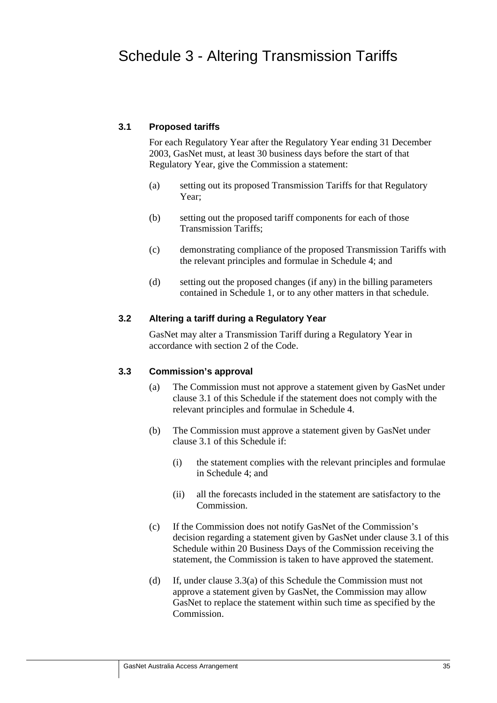### **3.1 Proposed tariffs**

For each Regulatory Year after the Regulatory Year ending 31 December 2003, GasNet must, at least 30 business days before the start of that Regulatory Year, give the Commission a statement:

- (a) setting out its proposed Transmission Tariffs for that Regulatory Year;
- (b) setting out the proposed tariff components for each of those Transmission Tariffs;
- (c) demonstrating compliance of the proposed Transmission Tariffs with the relevant principles and formulae in Schedule 4; and
- (d) setting out the proposed changes (if any) in the billing parameters contained in Schedule 1, or to any other matters in that schedule.

### **3.2 Altering a tariff during a Regulatory Year**

GasNet may alter a Transmission Tariff during a Regulatory Year in accordance with section 2 of the Code.

### **3.3 Commission's approval**

- (a) The Commission must not approve a statement given by GasNet under clause 3.1 of this Schedule if the statement does not comply with the relevant principles and formulae in Schedule 4.
- (b) The Commission must approve a statement given by GasNet under clause 3.1 of this Schedule if:
	- (i) the statement complies with the relevant principles and formulae in Schedule 4; and
	- (ii) all the forecasts included in the statement are satisfactory to the Commission.
- (c) If the Commission does not notify GasNet of the Commission's decision regarding a statement given by GasNet under clause 3.1 of this Schedule within 20 Business Days of the Commission receiving the statement, the Commission is taken to have approved the statement.
- (d) If, under clause 3.3(a) of this Schedule the Commission must not approve a statement given by GasNet, the Commission may allow GasNet to replace the statement within such time as specified by the Commission.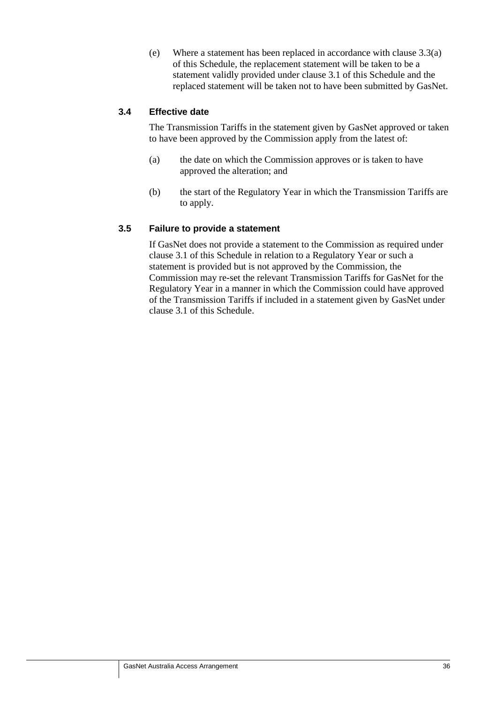(e) Where a statement has been replaced in accordance with clause 3.3(a) of this Schedule, the replacement statement will be taken to be a statement validly provided under clause 3.1 of this Schedule and the replaced statement will be taken not to have been submitted by GasNet.

### **3.4 Effective date**

The Transmission Tariffs in the statement given by GasNet approved or taken to have been approved by the Commission apply from the latest of:

- (a) the date on which the Commission approves or is taken to have approved the alteration; and
- (b) the start of the Regulatory Year in which the Transmission Tariffs are to apply.

### **3.5 Failure to provide a statement**

If GasNet does not provide a statement to the Commission as required under clause 3.1 of this Schedule in relation to a Regulatory Year or such a statement is provided but is not approved by the Commission, the Commission may re-set the relevant Transmission Tariffs for GasNet for the Regulatory Year in a manner in which the Commission could have approved of the Transmission Tariffs if included in a statement given by GasNet under clause 3.1 of this Schedule.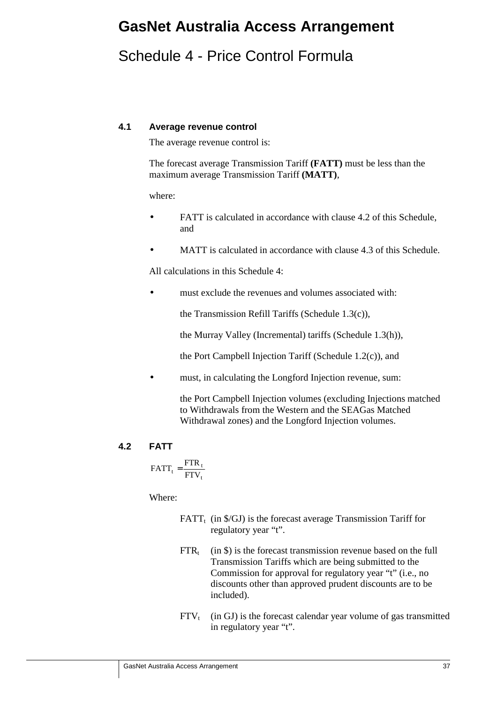# **GasNet Australia Access Arrangement**

# Schedule 4 - Price Control Formula

### **4.1 Average revenue control**

The average revenue control is:

The forecast average Transmission Tariff **(FATT)** must be less than the maximum average Transmission Tariff **(MATT)**,

where:

- FATT is calculated in accordance with clause 4.2 of this Schedule, and
- MATT is calculated in accordance with clause 4.3 of this Schedule.

All calculations in this Schedule 4:

must exclude the revenues and volumes associated with:

the Transmission Refill Tariffs (Schedule 1.3(c)),

the Murray Valley (Incremental) tariffs (Schedule 1.3(h)),

the Port Campbell Injection Tariff (Schedule 1.2(c)), and

must, in calculating the Longford Injection revenue, sum:

the Port Campbell Injection volumes (excluding Injections matched to Withdrawals from the Western and the SEAGas Matched Withdrawal zones) and the Longford Injection volumes.

### **4.2 FATT**

$$
FATT_t = \frac{FTR_t}{FTV_t}
$$

Where:

- FATT<sub>t</sub> (in  $\frac{f}{G}$ ) is the forecast average Transmission Tariff for regulatory year "t".
- $\text{FTR}_t$  (in \$) is the forecast transmission revenue based on the full Transmission Tariffs which are being submitted to the Commission for approval for regulatory year "t" (i.e., no discounts other than approved prudent discounts are to be included).
- $FTV<sub>t</sub>$  (in GJ) is the forecast calendar year volume of gas transmitted in regulatory year "t".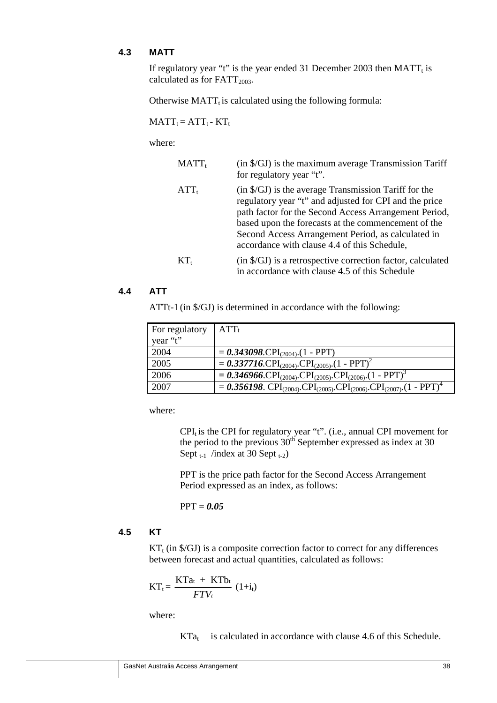### **4.3 MATT**

If regulatory year "t" is the year ended 31 December 2003 then  $MATT_t$  is calculated as for  $FATT<sub>2003</sub>$ .

Otherwise  $MATT_t$  is calculated using the following formula:

 $MATT_t = ATT_t - KT_t$ 

where:

| $MATT_t$ | (in \$/GJ) is the maximum average Transmission Tariff<br>for regulatory year "t".                                                                                                                                                                                                                                                                |
|----------|--------------------------------------------------------------------------------------------------------------------------------------------------------------------------------------------------------------------------------------------------------------------------------------------------------------------------------------------------|
| $ATT_t$  | $(in \, \frac{6}{3})$ is the average Transmission Tariff for the<br>regulatory year "t" and adjusted for CPI and the price<br>path factor for the Second Access Arrangement Period,<br>based upon the forecasts at the commencement of the<br>Second Access Arrangement Period, as calculated in<br>accordance with clause 4.4 of this Schedule, |
| $KT_{t}$ | (in \$/GJ) is a retrospective correction factor, calculated<br>in accordance with clause 4.5 of this Schedule                                                                                                                                                                                                                                    |

### **4.4 ATT**

ATTt-1 (in \$/GJ) is determined in accordance with the following:

| For regulatory<br>year "t" | $ATT_t$                                                                                                                               |
|----------------------------|---------------------------------------------------------------------------------------------------------------------------------------|
|                            |                                                                                                                                       |
| 2004                       | $= 0.343098$ .CPI <sub>(2004)</sub> .(1 - PPT)                                                                                        |
| 2005                       | $= 0.337716$ .CPI <sub>(2004)</sub> .CPI <sub>(2005)</sub> .(1 - PPT) <sup>2</sup>                                                    |
| 2006                       | $= 0.346966$ .CPI <sub>(2004)</sub> .CPI <sub>(2005)</sub> .CPI <sub>(2006)</sub> .(1 - PPT) <sup>3</sup>                             |
| 2007                       | $= 0.356198$ . CPI <sub>(2004)</sub> . CPI <sub>(2005)</sub> . CPI <sub>(2006)</sub> . CPI <sub>(2007)</sub> . (1 - PPT) <sup>4</sup> |

where:

 $CPI_t$  is the CPI for regulatory year "t". (i.e., annual CPI movement for the period to the previous  $30<sup>th</sup>$  September expressed as index at 30 Sept  $_{t-1}$  /index at 30 Sept  $_{t-2}$ )

PPT is the price path factor for the Second Access Arrangement Period expressed as an index, as follows:

PPT = *0.05*

### **4.5 KT**

 $KT_t$  (in \$/GJ) is a composite correction factor to correct for any differences between forecast and actual quantities, calculated as follows:

$$
KT_t = \frac{KTa_t + KTb_t}{FTV_t} (1+i_t)
$$

where:

 $KTa<sub>t</sub>$  is calculated in accordance with clause 4.6 of this Schedule.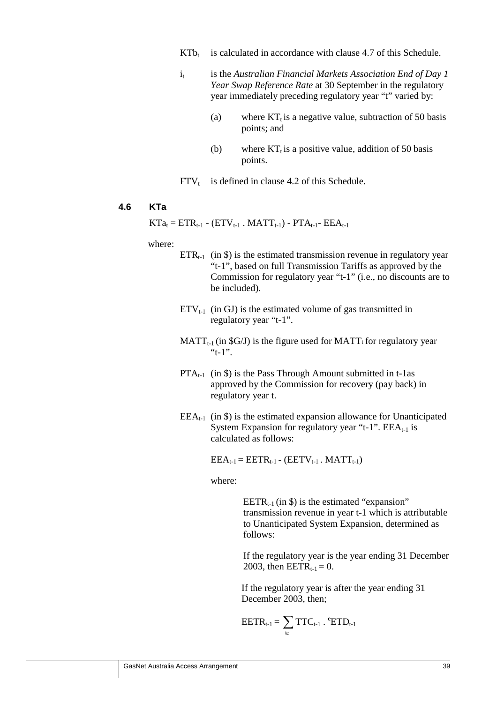- $KT_{t}$  is calculated in accordance with clause 4.7 of this Schedule.
- i<sub>t</sub> is the *Australian Financial Markets Association End of Day 1 Year Swap Reference Rate* at 30 September in the regulatory year immediately preceding regulatory year "t" varied by:
	- (a) where  $KT<sub>t</sub>$  is a negative value, subtraction of 50 basis points; and
	- (b) where  $KT_t$  is a positive value, addition of 50 basis points.
- $FTV<sub>t</sub>$  is defined in clause 4.2 of this Schedule.

### **4.6 KTa**

 $KTa_t = ETR_{t-1} - (ETV_{t-1} - MATT_{t-1}) - PTA_{t-1} - EEA_{t-1}$ 

#### where:

- $ETR_{t-1}$  (in \$) is the estimated transmission revenue in regulatory year "t-1", based on full Transmission Tariffs as approved by the Commission for regulatory year "t-1" (i.e., no discounts are to be included).
- $ETV_{t-1}$  (in GJ) is the estimated volume of gas transmitted in regulatory year "t-1".
- $MATT_{t-1}$  (in \$G/J) is the figure used for MATT<sub>t</sub> for regulatory year " $t-1$ ".
- $PTA_{t-1}$  (in \$) is the Pass Through Amount submitted in t-1as approved by the Commission for recovery (pay back) in regulatory year t.
- $EEA_{t-1}$  (in \$) is the estimated expansion allowance for Unanticipated System Expansion for regulatory year "t-1".  $EEA_{t-1}$  is calculated as follows:

 $EEA_{t-1} = EETR_{t-1} - (EETV_{t-1} - MATT_{t-1})$ 

where:

EETR<sub>t-1</sub> (in  $\$\)$  is the estimated "expansion" transmission revenue in year t-1 which is attributable to Unanticipated System Expansion, determined as follows:

If the regulatory year is the year ending 31 December 2003, then  $EETR_{t-1} = 0$ .

If the regulatory year is after the year ending 31 December 2003, then;

$$
EETR_{t\text{-}1} \!= \sum_{\kappa} TTC_{t\text{-}1} \cdot {}^e\!ETD_{t\text{-}1}
$$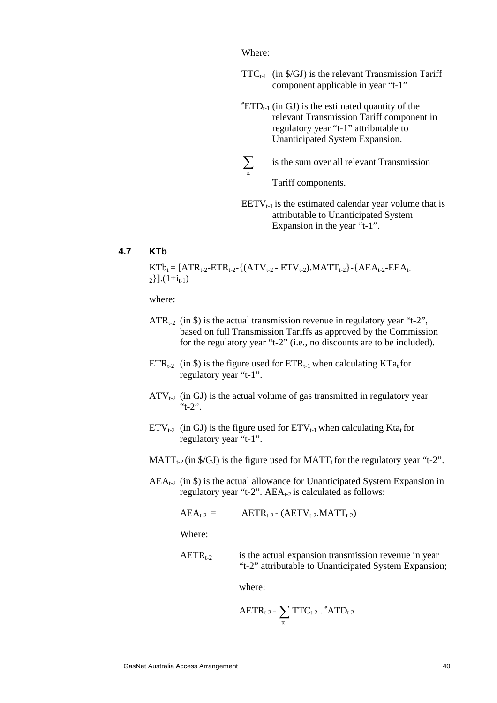Where:

- $TTC_{t-1}$  (in \$/GJ) is the relevant Transmission Tariff component applicable in year "t-1"
- ${}^e$ ETD<sub>t-1</sub> (in GJ) is the estimated quantity of the relevant Transmission Tariff component in regulatory year "t-1" attributable to Unanticipated System Expansion.
- $\sum_{\rm to}$ ∑ is the sum over all relevant Transmission

Tariff components.

 $EETV_{t-1}$  is the estimated calendar year volume that is attributable to Unanticipated System Expansion in the year "t-1".

#### **4.7 KTb**

 $KTb_t = [ATR_{t-2}-ETR_{t-2}-{(ATV_{t-2}-ETV_{t-2})}.MATT_{t-2}-{AEA_{t-2}-EEA_{t-2}}$  $_{2}$ }].(1+i<sub>t-1</sub>)

where:

- $ATR_{t-2}$  (in \$) is the actual transmission revenue in regulatory year "t-2", based on full Transmission Tariffs as approved by the Commission for the regulatory year "t-2" (i.e., no discounts are to be included).
- $ETR_{t-2}$  (in \$) is the figure used for  $ETR_{t-1}$  when calculating  $KTa_t$  for regulatory year "t-1".
- $ATV_{t-2}$  (in GJ) is the actual volume of gas transmitted in regulatory year "t-2".
- $ETV_{t-2}$  (in GJ) is the figure used for  $ETV_{t-1}$  when calculating Kta<sub>t</sub> for regulatory year "t-1".
- $MATT_{t-2}$  (in \$/GJ) is the figure used for  $MATT_t$  for the regulatory year "t-2".
- $AEA_{t-2}$  (in \$) is the actual allowance for Unanticipated System Expansion in regulatory year "t-2".  $AEA_{t-2}$  is calculated as follows:

 $AEA_{t-2} = AETR_{t-2} - (AETV_{t-2}.MATT_{t-2})$ 

Where:

 $AETR_{t-2}$  is the actual expansion transmission revenue in year "t-2" attributable to Unanticipated System Expansion;

where:

$$
AETR_{t\text{-}2}=\sum_{tc}TTC_{t\text{-}2}\cdot{^e}ATD_{t\text{-}2}
$$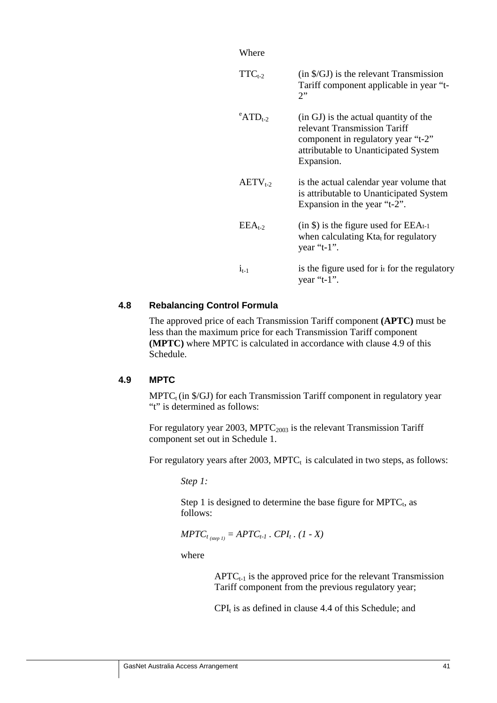| $TTC_{t-2}$                       | $(in \$ S/GJ) is the relevant Transmission<br>Tariff component applicable in year "t-<br>$2$ .                                                                    |
|-----------------------------------|-------------------------------------------------------------------------------------------------------------------------------------------------------------------|
| $\mathrm{e}_{\mathrm{ATD}_{1.2}}$ | (in GJ) is the actual quantity of the<br>relevant Transmission Tariff<br>component in regulatory year "t-2"<br>attributable to Unanticipated System<br>Expansion. |
| $AETV_{t-2}$                      | is the actual calendar year volume that<br>is attributable to Unanticipated System<br>Expansion in the year "t-2".                                                |
| $EEA_{t-2}$                       | $(in $)$ is the figure used for EEAt-1<br>when calculating Kta <sub>t</sub> for regulatory<br>year " $t-1$ ".                                                     |
| $1_{t-1}$                         | is the figure used for it for the regulatory<br>year " $t-1$ ".                                                                                                   |

### **4.8 Rebalancing Control Formula**

The approved price of each Transmission Tariff component **(APTC)** must be less than the maximum price for each Transmission Tariff component **(MPTC)** where MPTC is calculated in accordance with clause 4.9 of this Schedule.

### **4.9 MPTC**

 $MPTC<sub>t</sub>$  (in \$/GJ) for each Transmission Tariff component in regulatory year "t" is determined as follows:

For regulatory year 2003, MPT $C_{2003}$  is the relevant Transmission Tariff component set out in Schedule 1.

For regulatory years after 2003,  $MPTC<sub>t</sub>$  is calculated in two steps, as follows:

*Step 1:*

Step 1 is designed to determine the base figure for  $MPTC_t$ , as follows:

$$
MPTC_{t_{(step 1)}} = APTC_{t-1} \cdot CPI_t \cdot (1 - X)
$$

where

 $APTC_{t-1}$  is the approved price for the relevant Transmission Tariff component from the previous regulatory year;

 $CPI_t$  is as defined in clause 4.4 of this Schedule; and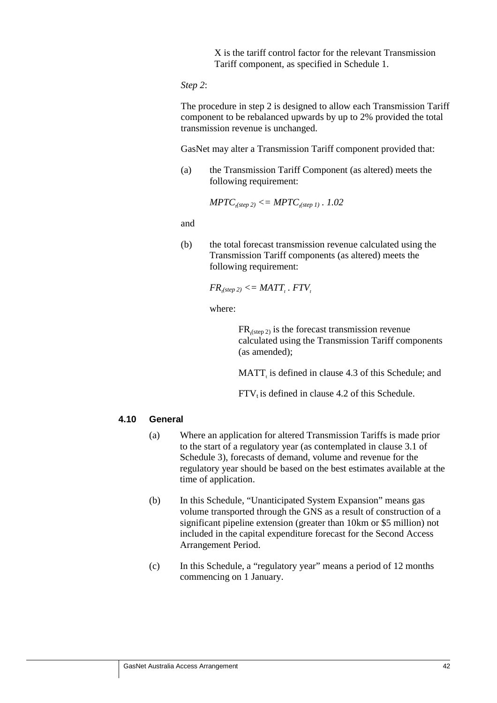X is the tariff control factor for the relevant Transmission Tariff component, as specified in Schedule 1.

*Step 2*:

The procedure in step 2 is designed to allow each Transmission Tariff component to be rebalanced upwards by up to 2% provided the total transmission revenue is unchanged.

GasNet may alter a Transmission Tariff component provided that:

(a) the Transmission Tariff Component (as altered) meets the following requirement:

$$
MPTC_{\text{,step 2)}} \leq MPTC_{\text{,step 1)}}.1.02
$$

and

(b) the total forecast transmission revenue calculated using the Transmission Tariff components (as altered) meets the following requirement:

$$
FR_{t(stop\ 2)} \leq MATT_{t} \cdot FTV_{t}
$$

where:

 $FR_{t(\text{step 2})}$  is the forecast transmission revenue calculated using the Transmission Tariff components (as amended);

 $MATT_t$  is defined in clause 4.3 of this Schedule; and

 $FTV<sub>t</sub>$  is defined in clause 4.2 of this Schedule.

### **4.10 General**

- (a) Where an application for altered Transmission Tariffs is made prior to the start of a regulatory year (as contemplated in clause 3.1 of Schedule 3), forecasts of demand, volume and revenue for the regulatory year should be based on the best estimates available at the time of application.
- (b) In this Schedule, "Unanticipated System Expansion" means gas volume transported through the GNS as a result of construction of a significant pipeline extension (greater than 10km or \$5 million) not included in the capital expenditure forecast for the Second Access Arrangement Period.
- (c) In this Schedule, a "regulatory year" means a period of 12 months commencing on 1 January.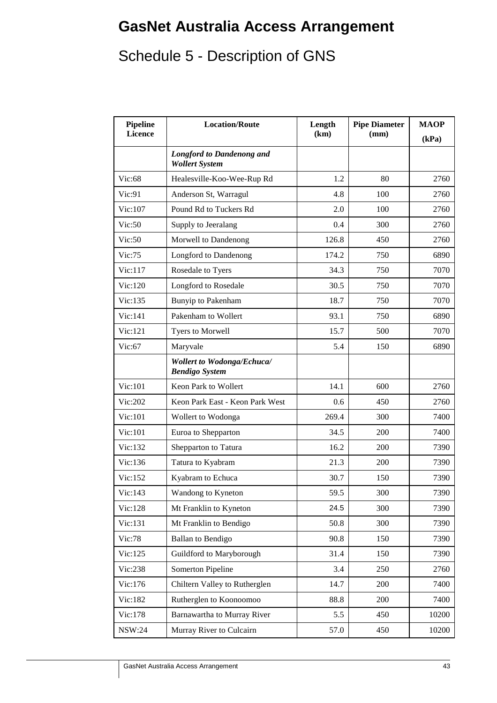# **GasNet Australia Access Arrangement**

# Schedule 5 - Description of GNS

| Pipeline<br><b>Licence</b> | <b>Location/Route</b>                                      | Length<br>(km) | <b>Pipe Diameter</b><br>(mm) | <b>MAOP</b><br>(kPa) |
|----------------------------|------------------------------------------------------------|----------------|------------------------------|----------------------|
|                            | <b>Longford to Dandenong and</b><br><b>Wollert System</b>  |                |                              |                      |
| Vic:68                     | Healesville-Koo-Wee-Rup Rd                                 | 1.2            | 80                           | 2760                 |
| Vic:91                     | Anderson St, Warragul                                      | 4.8            | 100                          | 2760                 |
| Vic:107                    | Pound Rd to Tuckers Rd                                     | 2.0            | 100                          | 2760                 |
| Vic:50                     | Supply to Jeeralang                                        | 0.4            | 300                          | 2760                 |
| Vic:50                     | Morwell to Dandenong                                       | 126.8          | 450                          | 2760                 |
| Vic:75                     | Longford to Dandenong                                      | 174.2          | 750                          | 6890                 |
| Vic:117                    | Rosedale to Tyers                                          | 34.3           | 750                          | 7070                 |
| Vic:120                    | Longford to Rosedale                                       | 30.5           | 750                          | 7070                 |
| Vic:135                    | <b>Bunyip to Pakenham</b>                                  | 18.7           | 750                          | 7070                 |
| Vic:141                    | Pakenham to Wollert                                        | 93.1           | 750                          | 6890                 |
| Vic:121                    | Tyers to Morwell                                           | 15.7           | 500                          | 7070                 |
| Vic:67                     | Maryvale                                                   | 5.4            | 150                          | 6890                 |
|                            | <b>Wollert to Wodonga/Echuca/</b><br><b>Bendigo System</b> |                |                              |                      |
| Vic:101                    | Keon Park to Wollert                                       | 14.1           | 600                          | 2760                 |
| Vic:202                    | Keon Park East - Keon Park West                            | 0.6            | 450                          | 2760                 |
| Vic:101                    | Wollert to Wodonga                                         | 269.4          | 300                          | 7400                 |
| Vic:101                    | Euroa to Shepparton                                        | 34.5           | 200                          | 7400                 |
| Vic:132                    | Shepparton to Tatura                                       | 16.2           | 200                          | 7390                 |
| Vic:136                    | Tatura to Kyabram                                          | 21.3           | 200                          | 7390                 |
| Vic:152                    | Kyabram to Echuca                                          | 30.7           | 150                          | 7390                 |
| Vic:143                    | Wandong to Kyneton                                         | 59.5           | 300                          | 7390                 |
| Vic:128                    | Mt Franklin to Kyneton                                     | 24.5           | 300                          | 7390                 |
| Vic:131                    | Mt Franklin to Bendigo                                     | 50.8           | 300                          | 7390                 |
| Vic:78                     | <b>Ballan</b> to Bendigo                                   | 90.8           | 150                          | 7390                 |
| Vic:125                    | Guildford to Maryborough                                   | 31.4           | 150                          | 7390                 |
| Vic:238                    | <b>Somerton Pipeline</b>                                   | 3.4            | 250                          | 2760                 |
| Vic:176                    | Chiltern Valley to Rutherglen                              | 14.7           | 200                          | 7400                 |
| Vic:182                    | Rutherglen to Koonoomoo                                    | 88.8           | 200                          | 7400                 |
| Vic:178                    | Barnawartha to Murray River                                | 5.5            | 450                          | 10200                |
| <b>NSW:24</b>              | Murray River to Culcairn                                   | 57.0           | 450                          | 10200                |